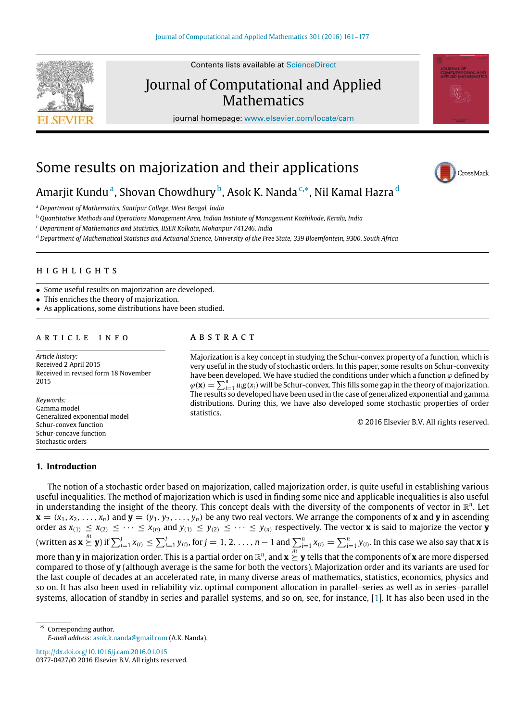

Contents lists available at [ScienceDirect](http://www.elsevier.com/locate/cam)

# Journal of Computational and Applied **Mathematics**

journal homepage: [www.elsevier.com/locate/cam](http://www.elsevier.com/locate/cam)



CrossMark

# Some results on majorization and their applications

# Am[a](#page-0-0)rjit Kundu<sup>a</sup>, Shovan Chowdhury <sup>[b](#page-0-1)</sup>, Asok K. Nanda <sup>[c,](#page-0-2)</sup>\*, Nil Kamal Hazra <sup>[d](#page-0-4)</sup>

<span id="page-0-0"></span><sup>a</sup> *Department of Mathematics, Santipur College, West Bengal, India*

<span id="page-0-1"></span><sup>b</sup> *Quantitative Methods and Operations Management Area, Indian Institute of Management Kozhikode, Kerala, India*

<span id="page-0-2"></span><sup>c</sup> *Department of Mathematics and Statistics, IISER Kolkata, Mohanpur 741246, India*

<span id="page-0-4"></span><sup>d</sup> *Department of Mathematical Statistics and Actuarial Science, University of the Free State, 339 Bloemfontein, 9300, South Africa*

# h i g h l i g h t s

- Some useful results on majorization are developed.
- This enriches the theory of majorization.
- As applications, some distributions have been studied.

# a r t i c l e i n f o

*Article history:* Received 2 April 2015 Received in revised form 18 November 2015

*Keywords:* Gamma model Generalized exponential model Schur-convex function Schur-concave function Stochastic orders

# a b s t r a c t

Majorization is a key concept in studying the Schur-convex property of a function, which is very useful in the study of stochastic orders. In this paper, some results on Schur-convexity have been developed. We have studied the conditions under which a function  $\varphi$  defined by  $\varphi(\mathbf{x}) = \sum_{i=1}^{n} u_i g(x_i)$  will be Schur-convex. This fills some gap in the theory of majorization. The results so developed have been used in the case of generalized exponential and gamma distributions. During this, we have also developed some stochastic properties of order statistics.

© 2016 Elsevier B.V. All rights reserved.

#### **1. Introduction**

The notion of a stochastic order based on majorization, called majorization order, is quite useful in establishing various useful inequalities. The method of majorization which is used in finding some nice and applicable inequalities is also useful in understanding the insight of the theory. This concept deals with the diversity of the components of vector in  $\mathbb{R}^n$ . Let  $\mathbf{x} = (x_1, x_2, \ldots, x_n)$  and  $\mathbf{y} = (y_1, y_2, \ldots, y_n)$  be any two real vectors. We arrange the components of  $\mathbf{x}$  and  $\mathbf{y}$  in ascending order as  $x_{(1)} \le x_{(2)} \le \cdots \le x_{(n)}$  and  $y_{(1)} \le y_{(2)} \le \cdots \le y_{(n)}$  respectively. The vector **x** is said to majorize the vector **y** (written as  $\mathbf{x}\overset{m}{\succeq}\mathbf{y}$ ) if  $\sum_{i=1}^{j}x_{(i)}\leq\sum_{i=1}^{j}y_{(i)}$ , for  $j=1,2,\ldots,n-1$  and  $\sum_{i=1}^{n}x_{(i)}=\sum_{i=1}^{n}y_{(i)}.$  In this case we also say that  $\mathbf{x}$  is more than **y** in majorization order. This is a partial order on  $\R^n$ , and  $\mathbf{x}\succeq \mathbf{y}$  tells that the components of **x** are more dispersed compared to those of **y** (although average is the same for both the vectors). Majorization order and its variants are used for the last couple of decades at an accelerated rate, in many diverse areas of mathematics, statistics, economics, physics and so on. It has also been used in reliability viz. optimal component allocation in parallel–series as well as in series–parallel systems, allocation of standby in series and parallel systems, and so on, see, for instance, [\[1\]](#page-16-0). It has also been used in the

<http://dx.doi.org/10.1016/j.cam.2016.01.015> 0377-0427/© 2016 Elsevier B.V. All rights reserved.

<span id="page-0-3"></span><sup>∗</sup> Corresponding author. *E-mail address:* [asok.k.nanda@gmail.com](mailto:asok.k.nanda@gmail.com) (A.K. Nanda).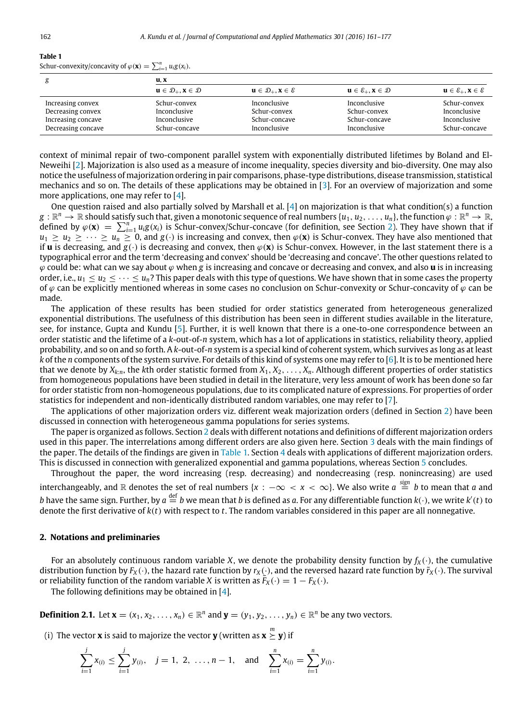# <span id="page-1-1"></span>**Table 1** Schur-convexity/concavity of  $\varphi(\mathbf{x}) = \sum_{i=1}^{n} u_i g(x_i)$ .

| g                  | u, x                                                          |                                                               |                                             |                                             |
|--------------------|---------------------------------------------------------------|---------------------------------------------------------------|---------------------------------------------|---------------------------------------------|
|                    | $\mathbf{u} \in \mathcal{D}_+$ , $\mathbf{x} \in \mathcal{D}$ | $\mathbf{u} \in \mathcal{D}_+$ , $\mathbf{x} \in \mathcal{E}$ | $u \in \mathcal{E}_+$ , $x \in \mathcal{D}$ | $u \in \mathcal{E}_+$ , $x \in \mathcal{E}$ |
| Increasing convex  | Schur-convex                                                  | Inconclusive                                                  | Inconclusive                                | Schur-convex                                |
| Decreasing convex  | Inconclusive                                                  | Schur-convex                                                  | Schur-convex                                | Inconclusive                                |
| Increasing concave | Inconclusive                                                  | Schur-concave                                                 | Schur-concave                               | Inconclusive                                |
| Decreasing concave | Schur-concave                                                 | Inconclusive                                                  | Inconclusive                                | Schur-concave                               |

context of minimal repair of two-component parallel system with exponentially distributed lifetimes by Boland and El-Neweihi [\[2\]](#page-16-1). Majorization is also used as a measure of income inequality, species diversity and bio-diversity. One may also notice the usefulness of majorization ordering in pair comparisons, phase-type distributions, disease transmission, statistical mechanics and so on. The details of these applications may be obtained in [\[3\]](#page-16-2). For an overview of majorization and some more applications, one may refer to [\[4\]](#page-16-3).

One question raised and also partially solved by Marshall et al. [\[4\]](#page-16-3) on majorization is that what condition(s) a function  $g:\R^n\to\R$  should satisfy such that, given a monotonic sequence of real numbers  $\{u_1,u_2,\ldots,u_n\},$  the function  $\varphi:\R^n\to\R$ , defined by  $\varphi(\mathbf{x}) = \sum_{i=1}^{n} u_i g(x_i)$  is Schur-convex/Schur-concave (for definition, see Section [2\)](#page-1-0). They have shown that if  $u_1 \ge u_2 \ge \cdots \ge u_n \ge 0$ , and  $g(\cdot)$  is increasing and convex, then  $\varphi(\mathbf{x})$  is Schur-convex. They have also mentioned that if **u** is decreasing, and  $g(\cdot)$  is decreasing and convex, then  $\varphi(\mathbf{x})$  is Schur-convex. However, in the last statement there is a typographical error and the term 'decreasing and convex' should be 'decreasing and concave'. The other questions related to ϕ could be: what can we say about ϕ when *g* is increasing and concave or decreasing and convex, and also **u** is in increasing order, i.e.,  $u_1 \le u_2 \le \cdots \le u_n$ ? This paper deals with this type of questions. We have shown that in some cases the property of  $\varphi$  can be explicitly mentioned whereas in some cases no conclusion on Schur-convexity or Schur-concavity of  $\varphi$  can be made.

The application of these results has been studied for order statistics generated from heterogeneous generalized exponential distributions. The usefulness of this distribution has been seen in different studies available in the literature, see, for instance, Gupta and Kundu [\[5\]](#page-16-4). Further, it is well known that there is a one-to-one correspondence between an order statistic and the lifetime of a *k*-out-of-*n* system, which has a lot of applications in statistics, reliability theory, applied probability, and so on and so forth. A *k*-out-of-*n* system is a special kind of coherent system, which survives as long as at least *k* of the *n* components of the system survive. For details of this kind of systems one may refer to [\[6\]](#page-16-5). It is to be mentioned here that we denote by  $X_{k:n}$ , the kth order statistic formed from  $X_1, X_2, \ldots, X_n$ . Although different properties of order statistics from homogeneous populations have been studied in detail in the literature, very less amount of work has been done so far for order statistic from non-homogeneous populations, due to its complicated nature of expressions. For properties of order statistics for independent and non-identically distributed random variables, one may refer to [\[7\]](#page-16-6).

The applications of other majorization orders viz. different weak majorization orders (defined in Section [2\)](#page-1-0) have been discussed in connection with heterogeneous gamma populations for series systems.

The paper is organized as follows. Section [2](#page-1-0) deals with different notations and definitions of different majorization orders used in this paper. The interrelations among different orders are also given here. Section [3](#page-3-0) deals with the main findings of the paper. The details of the findings are given in [Table 1.](#page-1-1) Section [4](#page-6-0) deals with applications of different majorization orders. This is discussed in connection with generalized exponential and gamma populations, whereas Section [5](#page-15-0) concludes.

Throughout the paper, the word increasing (resp. decreasing) and nondecreasing (resp. nonincreasing) are used  $\frac{p}{p}$  interchangeably, and  $\R$  denotes the set of real numbers  $\{x: -\infty < x < \infty\}$ . We also write  $a \stackrel{sign}{=} b$  to mean that  $a$  and *b* have the same sign. Further, by  $a\stackrel{\text{def}}{=}b$  we mean that *b* is defined as *a*. For any differentiable function  $k(\cdot)$ , we write  $k'(t)$  to denote the first derivative of *k*(*t*) with respect to *t*. The random variables considered in this paper are all nonnegative.

#### <span id="page-1-0"></span>**2. Notations and preliminaries**

For an absolutely continuous random variable *X*, we denote the probability density function by  $f_X(\cdot)$ , the cumulative distribution function by  $F_X(\cdot)$ , the hazard rate function by  $r_X(\cdot)$ , and the reversed hazard rate function by  $\tilde{r}_X(\cdot)$ . The survival or reliability function of the random variable *X* is written as  $F_X(\cdot) = 1 - F_X(\cdot)$ .

The following definitions may be obtained in [\[4\]](#page-16-3).

**Definition 2.1.** Let  $\mathbf{x} = (x_1, x_2, \ldots, x_n) \in \mathbb{R}^n$  and  $\mathbf{y} = (y_1, y_2, \ldots, y_n) \in \mathbb{R}^n$  be any two vectors.

(i) The vector **x** is said to majorize the vector **y** (written as  $\mathbf{x} \geq \mathbf{y}$ ) if

$$
\sum_{i=1}^j x_{(i)} \leq \sum_{i=1}^j y_{(i)}, \quad j=1, 2, \ldots, n-1, \quad \text{and} \quad \sum_{i=1}^n x_{(i)} = \sum_{i=1}^n y_{(i)}.
$$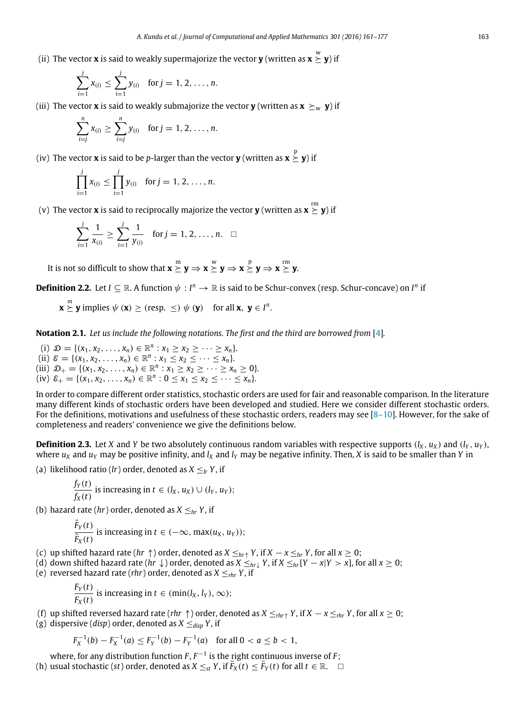(ii) The vector **x** is said to weakly supermajorize the vector **y** (written as  $\mathbf{x} \stackrel{\text{w}}{\succeq} \mathbf{y}$ ) if

$$
\sum_{i=1}^j x_{(i)} \leq \sum_{i=1}^j y_{(i)} \text{ for } j = 1, 2, \ldots, n.
$$

(iii) The vector **x** is said to weakly submajorize the vector **y** (written as  $\mathbf{x} \succeq_{w} \mathbf{y}$ ) if

$$
\sum_{i=j}^{n} x_{(i)} \geq \sum_{i=j}^{n} y_{(i)} \text{ for } j = 1, 2, ..., n.
$$

(iv) The vector **x** is said to be *p*-larger than the vector **y** (written as  $\mathbf{x}\overset{\text{p}}{\succeq}\mathbf{y}$ ) if

$$
\prod_{i=1}^{j} x_{(i)} \le \prod_{i=1}^{j} y_{(i)} \text{ for } j = 1, 2, ..., n.
$$

(v) The vector **x** is said to reciprocally majorize the vector **y** (written as  $\mathbf{x} \stackrel{\rm rm}{\succeq} \mathbf{y}$ ) if

$$
\sum_{i=1}^{j} \frac{1}{x_{(i)}} \ge \sum_{i=1}^{j} \frac{1}{y_{(i)}} \text{ for } j = 1, 2, ..., n. \quad \Box
$$

It is not so difficult to show that  $\mathbf{x} \succeq \mathbf{y} \Rightarrow \mathbf{x} \succeq \mathbf{y} \Rightarrow \mathbf{x} \succeq \mathbf{y} \Rightarrow \mathbf{x} \succeq \mathbf{y}$ 

**Definition 2.2.** Let  $I \subseteq \mathbb{R}$ . A function  $\psi : I^n \to \mathbb{R}$  is said to be Schur-convex (resp. Schur-concave) on  $I^n$  if

 $\mathbf{x} \overset{m}{\succeq} \mathbf{y}$  implies  $\psi$  ( $\mathbf{x}$ )  $\geq$  (resp.  $\leq$ )  $\psi$  ( $\mathbf{y}$ ) for all  $\mathbf{x}, \ \mathbf{y} \in I^n$ .

**Notation 2.1.** *Let us include the following notations. The first and the third are borrowed from* [\[4\]](#page-16-3)*.*

(i)  $\mathcal{D} = \{ (x_1, x_2, \dots, x_n) \in \mathbb{R}^n : x_1 \ge x_2 \ge \dots \ge x_n \}.$ (ii)  $\mathcal{E} = \{ (x_1, x_2, \dots, x_n) \in \mathbb{R}^n : x_1 \le x_2 \le \dots \le x_n \}.$ (iii)  $\mathcal{D}_+ = \{ (x_1, x_2, \dots, x_n) \in \mathbb{R}^n : x_1 \ge x_2 \ge \dots \ge x_n \ge 0 \}.$ (iv)  $\varepsilon_+ = \{(x_1, x_2, \dots, x_n) \in \mathbb{R}^n : 0 \le x_1 \le x_2 \le \dots \le x_n\}.$ 

In order to compare different order statistics, stochastic orders are used for fair and reasonable comparison. In the literature many different kinds of stochastic orders have been developed and studied. Here we consider different stochastic orders. For the definitions, motivations and usefulness of these stochastic orders, readers may see  $[8-10]$ . However, for the sake of completeness and readers' convenience we give the definitions below.

**Definition 2.3.** Let *X* and *Y* be two absolutely continuous random variables with respective supports ( $l_X$ ,  $u_X$ ) and ( $l_Y$ ,  $u_Y$ ), where  $u_X$  and  $u_Y$  may be positive infinity, and  $l_X$  and  $l_Y$  may be negative infinity. Then, *X* is said to be smaller than *Y* in

(a) likelihood ratio (*lr*) order, denoted as  $X \leq_l Y$ , if

$$
\frac{f_Y(t)}{f_X(t)}
$$
 is increasing in  $t \in (l_X, u_X) \cup (l_Y, u_Y);$ 

(b) hazard rate (*hr*) order, denoted as  $X \leq_{hr} Y$ , if

$$
\frac{\bar{F}_Y(t)}{\bar{F}_X(t)}
$$
 is increasing in  $t \in (-\infty, \max(u_X, u_Y));$ 

- (c) up shifted hazard rate ( $hr \uparrow$ ) order, denoted as  $X \leq_{hr\uparrow} Y$ , if  $X x \leq_{hr} Y$ , for all  $x \geq 0$ ;
- (d) down shifted hazard rate ( $hr$  ↓) order, denoted as  $X \leq_{hr} Y$ , if  $X \leq_{hr} [Y x]Y > x$ , for all  $x ≥ 0$ ;
- (e) reversed hazard rate (*rhr*) order, denoted as  $X \leq_{rhr} Y$ , if

$$
\frac{F_Y(t)}{F_X(t)}
$$
 is increasing in  $t \in (\min(l_X, l_Y), \infty)$ ;

- (f) up shifted reversed hazard rate (*rhr*  $\uparrow$ ) order, denoted as  $X \leq_{rhr} Y$ , if  $X x \leq_{rhr} Y$ , for all  $x \geq 0$ ;
- (g) dispersive (*disp*) order, denoted as  $X \leq_{disp} Y$ , if

$$
F_X^{-1}(b) - F_X^{-1}(a) \le F_Y^{-1}(b) - F_Y^{-1}(a) \quad \text{for all } 0 < a \le b < 1,
$$

where, for any distribution function  $F, F^{-1}$  is the right continuous inverse of  $F$ ;

 $\overline{F_X(t)}$  usual stochastic (*st*) order, denoted as  $X \leq_{st} Y$ , if  $\overline{F_X(t)} \leq \overline{F_Y(t)}$  for all  $t \in \mathbb{R}$ . □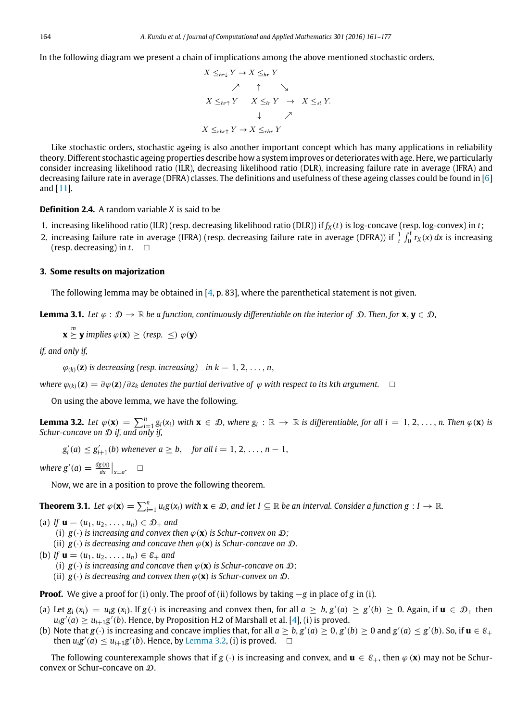In the following diagram we present a chain of implications among the above mentioned stochastic orders.

$$
X \leq_{hr\downarrow} Y \to X \leq_{hr} Y
$$
  
\n
$$
\nearrow \qquad \uparrow \qquad \searrow
$$
  
\n
$$
X \leq_{hr\uparrow} Y \qquad X \leq_{lr} Y \to X \leq_{st} Y.
$$
  
\n
$$
\downarrow \qquad \nearrow
$$
  
\n
$$
X \leq_{rhr\uparrow} Y \to X \leq_{rhr} Y
$$

Like stochastic orders, stochastic ageing is also another important concept which has many applications in reliability theory. Different stochastic ageing properties describe how a system improves or deteriorates with age. Here, we particularly consider increasing likelihood ratio (ILR), decreasing likelihood ratio (DLR), increasing failure rate in average (IFRA) and decreasing failure rate in average (DFRA) classes. The definitions and usefulness of these ageing classes could be found in [\[6\]](#page-16-5) and [\[11\]](#page-16-8).

# **Definition 2.4.** A random variable *X* is said to be

- 1. increasing likelihood ratio (ILR) (resp. decreasing likelihood ratio (DLR)) if  $f_X(t)$  is log-concave (resp. log-convex) in  $t$ ;
- 2. increasing failure rate in average (IFRA) (resp. decreasing failure rate in average (DFRA)) if  $\frac{1}{t}\int_0^t r_X(x)\,dx$  is increasing (resp. decreasing) in  $t$ .  $\square$

#### <span id="page-3-0"></span>**3. Some results on majorization**

The following lemma may be obtained in  $[4, p. 83]$ , where the parenthetical statement is not given.

**Lemma 3.1.** *Let*  $\varphi : \mathcal{D} \to \mathbb{R}$  *be a function, continuously differentiable on the interior of*  $\mathcal{D}$ *. Then, for* **x**,  $\mathbf{y} \in \mathcal{D}$ *,* 

<span id="page-3-3"></span>**x**  $\overset{m}{\succeq}$  **y** implies  $\varphi$  (**x**)  $\geq$  (*resp.* ≤)  $\varphi$  (**y**)

*if, and only if,*

 $\varphi_{(k)}(\mathbf{z})$  *is decreasing (resp. increasing) in k* = 1, 2, ..., *n*,

*where*  $\varphi_{(k)}(\mathbf{z}) = \partial \varphi(\mathbf{z}) / \partial z_k$  *denotes the partial derivative of*  $\varphi$  *with respect to its kth argument.*  $\square$ 

<span id="page-3-1"></span>On using the above lemma, we have the following.

**Lemma 3.2.** Let  $\varphi(\mathbf{x}) = \sum_{i=1}^{n} g_i(x_i)$  with  $\mathbf{x} \in \mathcal{D}$ , where  $g_i : \mathbb{R} \to \mathbb{R}$  is differentiable, for all  $i = 1, 2, ..., n$ . Then  $\varphi(\mathbf{x})$  is *Schur-concave on*  $D$  *if, and only if* 

 $g'_{i}(a) \leq g'_{i+1}(b)$  *whenever*  $a \geq b$ , *for all i* = 1, 2, ..., *n* − 1,

*where*  $g'(a) = \frac{dg(x)}{dx}\Big|_{x=a}$ .  $\Box$ 

<span id="page-3-2"></span>Now, we are in a position to prove the following theorem.

**Theorem 3.1.** Let  $\varphi(\mathbf{x}) = \sum_{i=1}^{n} u_i g(x_i)$  with  $\mathbf{x} \in \mathcal{D}$ , and let  $I \subseteq \mathbb{R}$  be an interval. Consider a function  $g: I \to \mathbb{R}$ .

- (a) *If*  $\mathbf{u} = (u_1, u_2, \dots, u_n) \in \mathcal{D}_+$  and
	- (i)  $g(\cdot)$  *is increasing and convex then*  $\varphi(\mathbf{x})$  *is Schur-convex on*  $\mathcal{D}$ *;*
	- (ii)  $g(\cdot)$  *is decreasing and concave then*  $\varphi(\mathbf{x})$  *is Schur-concave on*  $\mathcal{D}$ *.*
- (b) If  $\mathbf{u} = (u_1, u_2, \dots, u_n) \in \mathcal{E}_+$  and
	- (i)  $g(\cdot)$  *is increasing and concave then*  $\varphi(\mathbf{x})$  *is Schur-concave on*  $\mathcal{D}$ *;*
	- (ii)  $g(\cdot)$  *is decreasing and convex then*  $\varphi(\mathbf{x})$  *is Schur-convex on*  $\mathcal{D}$ *.*

**Proof.** We give a proof for (i) only. The proof of (ii) follows by taking −*g* in place of *g* in (i).

- (a) Let  $g_i(x_i) = u_i g(x_i)$ . If  $g(\cdot)$  is increasing and convex then, for all  $a \ge b$ ,  $g'(a) \ge g'(b) \ge 0$ . Again, if  $u \in \mathcal{D}_+$  then  $u_i g'(a) \ge u_{i+1} g'(b)$ . Hence, by Proposition H.2 of Marshall et al. [\[4\]](#page-16-3), (i) is proved.
- (b) Note that  $g(\cdot)$  is increasing and concave implies that, for all  $a \ge b$ ,  $g'(a) \ge 0$ ,  $g'(b) \ge 0$  and  $g'(a) \le g'(b)$ . So, if  $u \in \mathcal{E}_+$ then  $u_i g'(a) \leq u_{i+1} g'(b)$ . Hence, by [Lemma 3.2,](#page-3-1) (i) is proved.  $\Box$

The following counterexample shows that if *g* (·) is increasing and convex, and  $\mathbf{u} \in \mathcal{E}_+$ , then  $\varphi(\mathbf{x})$  may not be Schurconvex or Schur-concave on D.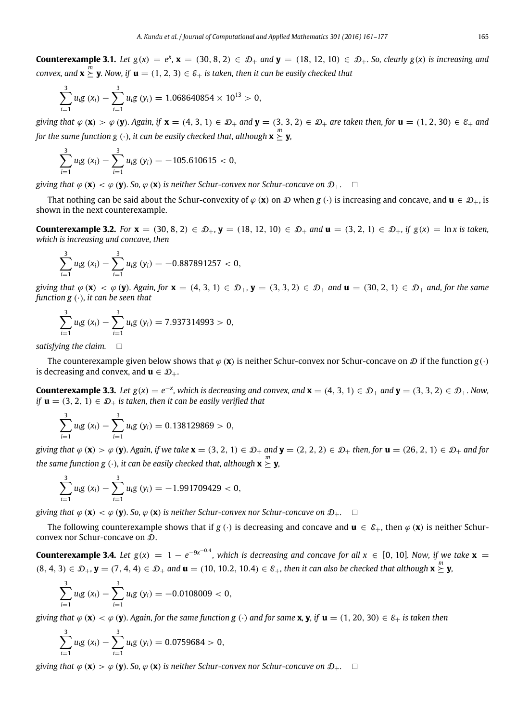**Counterexample 3.1.** Let  $g(x) = e^x$ ,  $x = (30, 8, 2) \in \mathcal{D}_+$  and  $y = (18, 12, 10) \in \mathcal{D}_+$ . So, clearly  $g(x)$  is increasing and  $convex$ , and  $\mathbf{x} \succeq \mathbf{y}$ . Now, if  $\mathbf{u} = (1, 2, 3) \in \mathcal{E}_+$  is taken, then it can be easily checked that

$$
\sum_{i=1}^{3} u_i g(x_i) - \sum_{i=1}^{3} u_i g(y_i) = 1.068640854 \times 10^{13} > 0,
$$

*giving that*  $\varphi$  (**x**) >  $\varphi$  (**y**)*. Again, if* **x** = (4, 3, 1)  $\in$   $\mathcal{D}_+$  *and* **y** = (3, 3, 2)  $\in$   $\mathcal{D}_+$  *are taken then, for* **u** = (1, 2, 30)  $\in$   $\mathcal{E}_+$  *and* for the same function g  $(\cdot)$ , it can be easily checked that, although  $\mathbf{x} \succeq \mathbf{y}$ ,

$$
\sum_{i=1}^3 u_i g(x_i) - \sum_{i=1}^3 u_i g(y_i) = -105.610615 < 0,
$$

*giving that*  $\varphi$  (**x**)  $\lt \varphi$  (**y**)*.* So,  $\varphi$  (**x**) *is neither Schur-convex nor Schur-concave on*  $\mathcal{D}_+$ *.*  $\Box$ 

That nothing can be said about the Schur-convexity of  $\varphi$  (**x**) on  $\mathcal D$  when  $g(\cdot)$  is increasing and concave, and  $\mathbf u \in \mathcal D_+$ , is shown in the next counterexample.

**Counterexample 3.2.** *For* **x** = (30, 8, 2) ∈  $\mathcal{D}_+$ , **y** = (18, 12, 10) ∈  $\mathcal{D}_+$  *and* **u** = (3, 2, 1) ∈  $\mathcal{D}_+$ , *if g*(*x*) = ln *x* is taken, *which is increasing and concave, then*

$$
\sum_{i=1}^3 u_i g(x_i) - \sum_{i=1}^3 u_i g(y_i) = -0.887891257 < 0,
$$

*giving that*  $\varphi$  (**x**)  $\lt \varphi$  (**y**)*. Again, for*  $\mathbf{x} = (4, 3, 1) \in \mathcal{D}_+$ ,  $\mathbf{y} = (3, 3, 2) \in \mathcal{D}_+$  and  $\mathbf{u} = (30, 2, 1) \in \mathcal{D}_+$  and, for the same *function g* (·)*, it can be seen that*

$$
\sum_{i=1}^{3} u_{i}g\left(x_{i}\right)-\sum_{i=1}^{3} u_{i}g\left(y_{i}\right)=7.937314993>0,
$$

*satisfying the claim.*

The counterexample given below shows that  $\varphi$  (**x**) is neither Schur-convex nor Schur-concave on  $\mathcal D$  if the function  $g(\cdot)$ is decreasing and convex, and  $\mathbf{u} \in \mathcal{D}_+$ .

**Counterexample 3.3.** Let  $g(x) = e^{-x}$ , which is decreasing and convex, and **x** = (4, 3, 1) ∈  $\mathcal{D}_+$  and **y** = (3, 3, 2) ∈  $\mathcal{D}_+$ . Now, *if*  $\mathbf{u} = (3, 2, 1) \in \mathcal{D}_+$  *is taken, then it can be easily verified that* 

<span id="page-4-0"></span>
$$
\sum_{i=1}^3 u_i g(x_i) - \sum_{i=1}^3 u_i g(y_i) = 0.138129869 > 0,
$$

*giving that*  $\varphi$  (**x**) >  $\varphi$  (**y**)*. Again, if we take*  $\mathbf{x} = (3, 2, 1) \in \mathcal{D}_+$  *and*  $\mathbf{y} = (2, 2, 2) \in \mathcal{D}_+$  *then, for*  $\mathbf{u} = (26, 2, 1) \in \mathcal{D}_+$  *and for* the same function  $g$   $(\cdot)$ , it can be easily checked that, although  $\mathbf{x} \succeq \mathbf{y}$ ,

$$
\sum_{i=1}^{3} u_i g(x_i) - \sum_{i=1}^{3} u_i g(y_i) = -1.991709429 < 0,
$$

*giving that*  $\varphi$  (**x**)  $\lt \varphi$  (**y**)*.* So,  $\varphi$  (**x**) *is neither Schur-convex nor Schur-concave on*  $\mathcal{D}_+$ .  $\Box$ 

The following counterexample shows that if *g* (·) is decreasing and concave and  $\mathbf{u} \in \mathcal{E}_+$ , then  $\varphi(\mathbf{x})$  is neither Schurconvex nor Schur-concave on  $D$ .

**Counterexample 3.4.** Let  $g(x) = 1 - e^{-9x^{-0.4}}$ , which is decreasing and concave for all  $x \in [0, 10]$ . Now, if we take  $\mathbf{x} =$  $(8, 4, 3) \in \mathcal{D}_+$ ,  $\mathbf{y} = (7, 4, 4) \in \mathcal{D}_+$  and  $\mathbf{u} = (10, 10.2, 10.4) \in \mathcal{E}_+$ , then it can also be checked that although  $\mathbf{x} \succeq \mathbf{y}$ ,

$$
\sum_{i=1}^3 u_i g(x_i) - \sum_{i=1}^3 u_i g(y_i) = -0.0108009 < 0,
$$

*giving that*  $\varphi$  (**x**)  $\lt \varphi$  (**y**)*. Again, for the same function g* (·) *and for same* **x**, **y**, *if* **u** = (1, 20, 30)  $\in \mathcal{E}_+$  *is taken then* 

$$
\sum_{i=1}^{3} u_{i}g(x_{i}) - \sum_{i=1}^{3} u_{i}g(y_{i}) = 0.0759684 > 0,
$$

*giving that*  $\varphi(\mathbf{x}) > \varphi(\mathbf{v})$ *. So,*  $\varphi(\mathbf{x})$  *is neither Schur-convex nor Schur-concave on*  $\mathcal{D}_+$ *.*  $\Box$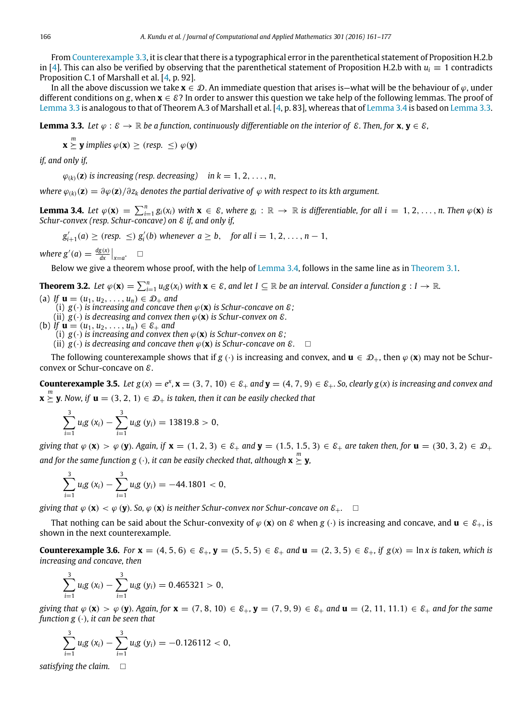From [Counterexample 3.3,](#page-4-0) it is clear that there is a typographical error in the parenthetical statement of Proposition H.2.b in [\[4\]](#page-16-3). This can also be verified by observing that the parenthetical statement of Proposition H.2.b with  $u_i \equiv 1$  contradicts Proposition C.1 of Marshall et al. [\[4,](#page-16-3) p. 92].

In all the above discussion we take  $\mathbf{x} \in \mathcal{D}$ . An immediate question that arises is—what will be the behaviour of  $\varphi$ , under different conditions on *g*, when  $\mathbf{x} \in \mathcal{E}$ ? In order to answer this question we take help of the following lemmas. The proof of [Lemma 3.3](#page-5-0) is analogous to that of Theorem A.3 of Marshall et al. [\[4,](#page-16-3) p. 83], whereas that of [Lemma 3.4](#page-5-1) is based on [Lemma 3.3.](#page-5-0)

**Lemma 3.3.** *Let*  $\varphi : \mathcal{E} \to \mathbb{R}$  *be a function, continuously differentiable on the interior of*  $\mathcal{E}$ *. Then, for* **x**, **y**  $\in \mathcal{E}$ *,* 

<span id="page-5-0"></span> $\mathbf{x} \succeq^m \mathbf{y}$  implies  $\varphi(\mathbf{x}) \geq (resp. \ \leq) \ \varphi(\mathbf{y})$ 

*if, and only if,*

 $\varphi_{(k)}(\mathbf{z})$  *is increasing (resp. decreasing) in k* = 1, 2, ..., *n*,

*where*  $\varphi_{(k)}(\mathbf{z}) = \partial \varphi(\mathbf{z}) / \partial z_k$  *denotes the partial derivative of*  $\varphi$  *with respect to its kth argument.* 

**Lemma 3.4.** Let  $\varphi(\mathbf{x}) = \sum_{i=1}^{n} g_i(x_i)$  with  $\mathbf{x} \in \mathcal{E}$ , where  $g_i : \mathbb{R} \to \mathbb{R}$  is differentiable, for all  $i = 1, 2, ..., n$ . Then  $\varphi(\mathbf{x})$  is *Schur-convex (resp. Schur-concave) on* E *if, and only if,*

<span id="page-5-1"></span> $g'_{i+1}(a) \geq (resp. \leq) g'_{i}(b)$  whenever  $a \geq b$ , for all  $i = 1, 2, ..., n - 1$ ,

*where*  $g'(a) = \frac{dg(x)}{dx}\Big|_{x=a}$ .  $\Box$ 

<span id="page-5-2"></span>Below we give a theorem whose proof, with the help of [Lemma 3.4,](#page-5-1) follows in the same line as in [Theorem 3.1.](#page-3-2)

**Theorem 3.2.** Let  $\varphi(\mathbf{x}) = \sum_{i=1}^{n} u_i g(x_i)$  with  $\mathbf{x} \in \mathcal{E}$ , and let  $I \subseteq \mathbb{R}$  be an interval. Consider a function  $g: I \to \mathbb{R}$ .

(a) *If*  $\mathbf{u} = (u_1, u_2, \dots, u_n) \in \mathcal{D}_+$  *and* 

(i)  $g(\cdot)$  *is increasing and concave then*  $\varphi(\mathbf{x})$  *is Schur-concave on*  $\varepsilon$ ;

(ii)  $g(\cdot)$  *is decreasing and convex then*  $\varphi(\mathbf{x})$  *is Schur-convex on*  $\varepsilon$ *.* 

- (b) *If*  $\mathbf{u} = (u_1, u_2, \dots, u_n) \in \mathcal{E}_+$  and
	- (i)  $g(\cdot)$  *is increasing and convex then*  $\varphi(\mathbf{x})$  *is Schur-convex on*  $\varepsilon$ *:*
	- (ii)  $g(\cdot)$  *is decreasing and concave then*  $\varphi(\mathbf{x})$  *is Schur-concave on*  $\mathcal{E}$ *.*  $\Box$

The following counterexample shows that if *g* (·) is increasing and convex, and  $\mathbf{u} \in \mathcal{D}_+$ , then  $\varphi(\mathbf{x})$  may not be Schurconvex or Schur-concave on E.

**Counterexample 3.5.** Let  $g(x) = e^x$ ,  $x = (3, 7, 10) \in \mathcal{E}_+$  and  $y = (4, 7, 9) \in \mathcal{E}_+$ . So, clearly  $g(x)$  is increasing and convex and  $\mathbf{x} \overset{m}{\succeq} \mathbf{y}$ *.* Now, if  $\mathbf{u} = (3, 2, 1) \in \mathcal{D}_+$  is taken, then it can be easily checked that

$$
\sum_{i=1}^{3} u_i g(x_i) - \sum_{i=1}^{3} u_i g(y_i) = 13819.8 > 0,
$$

*giving that*  $\varphi$  (**x**) >  $\varphi$  (**y**)*. Again, if* **x** = (1, 2, 3)  $\in$   $\mathcal{E}_+$  *and* **y** = (1.5, 1.5, 3)  $\in$   $\mathcal{E}_+$  *are taken then, for* **u** = (30, 3, 2)  $\in$   $\mathcal{D}_+$ and for the same function g  $(\cdot)$ , it can be easily checked that, although  $\mathbf{x} \succeq \mathbf{y}$ ,

$$
\sum_{i=1}^{3} u_i g(x_i) - \sum_{i=1}^{3} u_i g(y_i) = -44.1801 < 0,
$$

*giving that*  $\varphi(\mathbf{x}) < \varphi(\mathbf{y})$ *.* So,  $\varphi(\mathbf{x})$  *is neither Schur-convex nor Schur-concave on*  $\mathcal{E}_+$ .  $\square$ 

That nothing can be said about the Schur-convexity of  $\varphi$  (**x**) on  $\mathcal{E}$  when  $g(\cdot)$  is increasing and concave, and  $\mathbf{u} \in \mathcal{E}_+$ , is shown in the next counterexample.

**Counterexample 3.6.** *For* **x** = (4, 5, 6) ∈  $\varepsilon_+$ , **y** = (5, 5, 5) ∈  $\varepsilon_+$  *and* **u** = (2, 3, 5) ∈  $\varepsilon_+$ , *if g*(*x*) = ln *x* is taken, which is *increasing and concave, then*

$$
\sum_{i=1}^3 u_i g(x_i) - \sum_{i=1}^3 u_i g(y_i) = 0.465321 > 0,
$$

*giving that*  $\varphi$  (**x**) >  $\varphi$  (**y**)*. Again, for* **x** = (7, 8, 10)  $\in$   $\mathcal{E}_+$ , **y** = (7, 9, 9)  $\in$   $\mathcal{E}_+$  *and* **u** = (2, 11, 11.1)  $\in$   $\mathcal{E}_+$  *and for the same function g* (·)*, it can be seen that*

$$
\sum_{i=1}^{3} u_i g(x_i) - \sum_{i=1}^{3} u_i g(y_i) = -0.126112 < 0,
$$

*satisfying the claim.*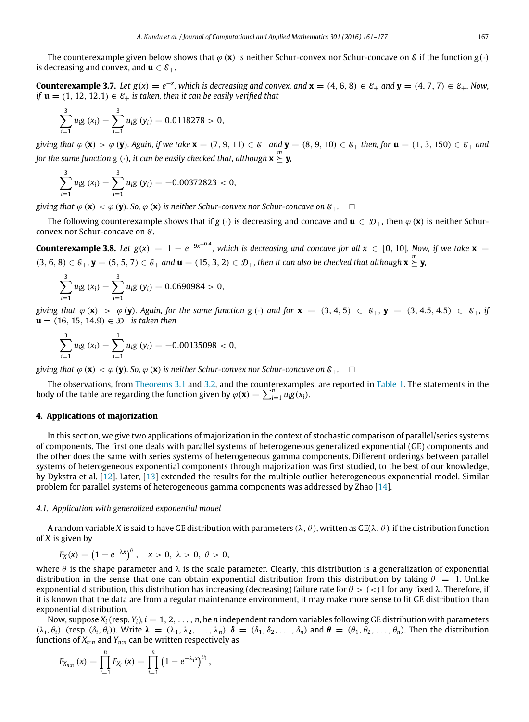The counterexample given below shows that  $\varphi$  (x) is neither Schur-convex nor Schur-concave on  $\varnothing$  if the function  $g(\cdot)$ is decreasing and convex, and  $\mathbf{u} \in \mathcal{E}_+$ .

**Counterexample 3.7.** Let  $g(x) = e^{-x}$ , which is decreasing and convex, and **x** = (4, 6, 8) ∈  $\varepsilon_+$  and **y** = (4, 7, 7) ∈  $\varepsilon_+$ . Now, *if*  $\mathbf{u} = (1, 12, 12.1) \in \mathcal{E}_+$  *is taken, then it can be easily verified that* 

$$
\sum_{i=1}^{3} u_i g(x_i) - \sum_{i=1}^{3} u_i g(y_i) = 0.0118278 > 0,
$$

*giving that*  $\varphi$  (**x**) >  $\varphi$  (**y**)*. Again, if we take x = (7, 9, 11)*  $\in \mathcal{E}_+$  *<i>and* **y** = (8, 9, 10)  $\in \mathcal{E}_+$  *then, for* **u** = (1, 3, 150)  $\in \mathcal{E}_+$  *and* for the same function  $\mathbf{g}\left( \cdot\right)$ , it can be easily checked that, although  $\mathbf{x}\succeq\mathbf{y}$ ,

$$
\sum_{i=1}^3 u_i g(x_i) - \sum_{i=1}^3 u_i g(y_i) = -0.00372823 < 0,
$$

*giving that*  $\varphi$  (**x**)  $\lt \varphi$  (**y**)*.* So,  $\varphi$  (**x**) *is neither Schur-convex nor Schur-concave on*  $\mathcal{E}_+$ .  $\Box$ 

The following counterexample shows that if *g* (·) is decreasing and concave and  $\mathbf{u} \in \mathcal{D}_+$ , then  $\varphi(\mathbf{x})$  is neither Schurconvex nor Schur-concave on E.

**Counterexample 3.8.** Let  $g(x) = 1 - e^{-9x^{-0.4}}$ , which is decreasing and concave for all  $x \in [0, 10]$ . Now, if we take  $\mathbf{x} =$  $(3, 6, 8) \in \mathcal{E}_+$ ,  $\mathbf{y} = (5, 5, 7) \in \mathcal{E}_+$  and  $\mathbf{u} = (15, 3, 2) \in \mathcal{D}_+$ , then it can also be checked that although  $\mathbf{x} \succeq \mathbf{y}$ ,

$$
\sum_{i=1}^{3} u_i g(x_i) - \sum_{i=1}^{3} u_i g(y_i) = 0.0690984 > 0,
$$

*giving that*  $\varphi$  (**x**) >  $\varphi$  (**y**)*. Again, for the same function g* (·) and for **x** = (3, 4, 5)  $\in$  E<sub>+</sub>, **y** = (3, 4.5, 4.5)  $\in$  E<sub>+</sub>, *if* *is taken then* 

$$
\sum_{i=1}^3 u_i g(x_i) - \sum_{i=1}^3 u_i g(y_i) = -0.00135098 < 0,
$$

*giving that*  $\varphi$  (**x**)  $\lt \varphi$  (**y**)*.* So,  $\varphi$  (**x**) *is neither Schur-convex nor Schur-concave on*  $\mathcal{E}_+$ .  $\Box$ 

The observations, from [Theorems 3.1](#page-3-2) and [3.2,](#page-5-2) and the counterexamples, are reported in [Table 1.](#page-1-1) The statements in the body of the table are regarding the function given by  $\varphi(\mathbf{x}) = \sum_{i=1}^{n} u_i g(x_i)$ .

# <span id="page-6-0"></span>**4. Applications of majorization**

In this section, we give two applications of majorization in the context of stochastic comparison of parallel/series systems of components. The first one deals with parallel systems of heterogeneous generalized exponential (GE) components and the other does the same with series systems of heterogeneous gamma components. Different orderings between parallel systems of heterogeneous exponential components through majorization was first studied, to the best of our knowledge, by Dykstra et al. [\[12\]](#page-16-9). Later, [\[13\]](#page-16-10) extended the results for the multiple outlier heterogeneous exponential model. Similar problem for parallel systems of heterogeneous gamma components was addressed by Zhao [\[14\]](#page-16-11).

#### *4.1. Application with generalized exponential model*

A random variable X is said to have GE distribution with parameters ( $\lambda, \theta$ ), written as GE( $\lambda, \theta$ ), if the distribution function of *X* is given by

 $F_X(x) = (1 - e^{-\lambda x})^{\theta}$ ,  $x > 0$ ,  $\lambda > 0$ ,  $\theta > 0$ ,

where  $\theta$  is the shape parameter and  $\lambda$  is the scale parameter. Clearly, this distribution is a generalization of exponential distribution in the sense that one can obtain exponential distribution from this distribution by taking  $\theta = 1$ . Unlike exponential distribution, this distribution has increasing (decreasing) failure rate for  $\theta > \frac{1}{1}$  for any fixed  $\lambda$ . Therefore, if it is known that the data are from a regular maintenance environment, it may make more sense to fit GE distribution than exponential distribution.

Now, suppose  $X_i$  (resp.  $Y_i$ ),  $i = 1, 2, \ldots, n$ , be *n* independent random variables following GE distribution with parameters  $(\lambda_i, \theta_i)$  (resp.  $(\delta_i, \theta_i)$ ). Write  $\lambda = (\lambda_1, \lambda_2, \ldots, \lambda_n)$ ,  $\delta = (\delta_1, \delta_2, \ldots, \delta_n)$  and  $\theta = (\theta_1, \theta_2, \ldots, \theta_n)$ . Then the distribution functions of *Xn*:*<sup>n</sup>* and *Yn*:*<sup>n</sup>* can be written respectively as

$$
F_{X_{n:n}}(x) = \prod_{i=1}^{n} F_{X_i}(x) = \prod_{i=1}^{n} (1 - e^{-\lambda_i x})^{\theta_i},
$$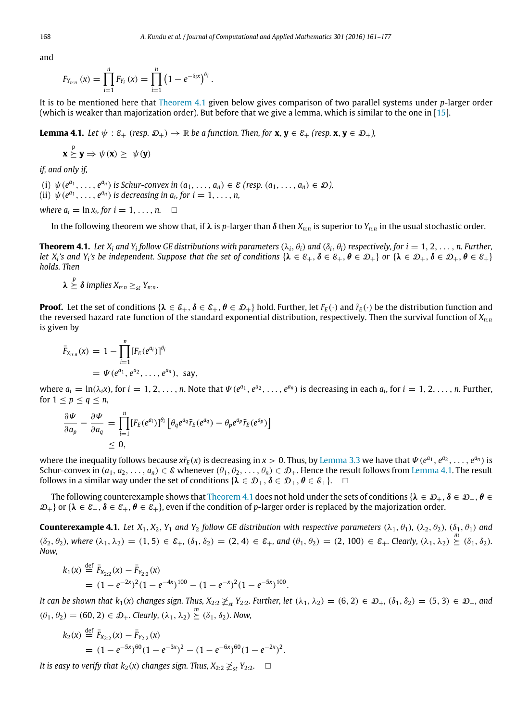and

$$
F_{Y_{n:n}}(x) = \prod_{i=1}^{n} F_{Y_i}(x) = \prod_{i=1}^{n} (1 - e^{-\delta_i x})^{\theta_i}.
$$

It is to be mentioned here that [Theorem 4.1](#page-7-0) given below gives comparison of two parallel systems under *p*-larger order (which is weaker than majorization order). But before that we give a lemma, which is similar to the one in [\[15\]](#page-16-12).

**Lemma 4.1.** *Let*  $\psi$  :  $\varepsilon_+$  (*resp.*  $\mathcal{D}_+$ )  $\rightarrow \mathbb{R}$  *be a function. Then, for* **x**, **y**  $\in \varepsilon_+$  (*resp.* **x**, **y**  $\in \mathcal{D}_+$ *),* 

<span id="page-7-1"></span>
$$
\mathbf{x} \stackrel{p}{\succeq} \mathbf{y} \Rightarrow \psi(\mathbf{x}) \geq \psi(\mathbf{y})
$$

*if, and only if,*

(i)  $\psi(e^{a_1}, \ldots, e^{a_n})$  is Schur-convex in  $(a_1, \ldots, a_n) \in \mathcal{E}$  (resp.  $(a_1, \ldots, a_n) \in \mathcal{D}$ ), (ii)  $\psi(e^{a_1}, \ldots, e^{a_n})$  *is decreasing in a<sub>i</sub>*, for  $i = 1, \ldots, n$ ,

*where*  $a_i = \ln x_i$ , for  $i = 1, \ldots, n$ .  $\Box$ 

<span id="page-7-0"></span>In the following theorem we show that, if λ is *p*-larger than δ then  $X_{n:n}$  is superior to  $Y_{n:n}$  in the usual stochastic order.

**Theorem 4.1.** Let  $X_i$  and  $Y_i$  follow GE distributions with parameters  $(\lambda_i, \theta_i)$  and  $(\delta_i, \theta_i)$  respectively, for  $i=1,2,\ldots,n$ . Further, *let*  $X_i$ 's and  $Y_i$ 's be independent. Suppose that the set of conditions  $\{\lambda \in \mathcal{E}_+, \delta \in \mathcal{E}_+$ ,  $\theta \in \mathcal{D}_+$ ,  $\delta \in \mathcal{D}_+, \delta \in \mathcal{D}_+$ ,  $\theta \in \mathcal{E}_+\}$ *holds. Then*

$$
\lambda \overset{p}{\succeq} \delta \text{ implies } X_{n:n} \geq_{st} Y_{n:n}.
$$

**Proof.** Let the set of conditions { $\lambda \in \mathcal{E}_+$ ,  $\delta \in \mathcal{E}_+$ ,  $\theta \in \mathcal{D}_+$ } hold. Further, let  $F_F(\cdot)$  and  $\tilde{r}_F(\cdot)$  be the distribution function and the reversed hazard rate function of the standard exponential distribution, respectively. Then the survival function of *Xn*:*<sup>n</sup>* is given by

$$
\bar{F}_{X_{n:n}}(x) = 1 - \prod_{i=1}^{n} [F_E(e^{a_i})]^{\theta_i}
$$
  
=  $\Psi(e^{a_1}, e^{a_2}, \dots, e^{a_n}),$  say,

where  $a_i = \ln(\lambda_i x)$ , for  $i = 1, 2, ..., n$ . Note that  $\Psi(e^{a_1}, e^{a_2}, ..., e^{a_n})$  is decreasing in each  $a_i$ , for  $i = 1, 2, ..., n$ . Further, for  $1 \leq p \leq q \leq n$ ,

$$
\frac{\partial \Psi}{\partial a_p} - \frac{\partial \Psi}{\partial a_q} = \prod_{i=1}^n [F_E(e^{a_i})]^{\theta_i} \left[ \theta_q e^{a_q} \tilde{r}_E(e^{a_q}) - \theta_p e^{a_p} \tilde{r}_E(e^{a_p}) \right] \leq 0,
$$

where the inequality follows because  $x\tilde{r}_E(x)$  is decreasing in  $x>0$ . Thus, by [Lemma 3.3](#page-5-0) we have that  $\Psi(e^{a_1}, e^{a_2}, \ldots, e^{a_n})$  is Schur-convex in  $(a_1, a_2, \ldots, a_n) \in \mathcal{E}$  whenever  $(\theta_1, \theta_2, \ldots, \theta_n) \in \mathcal{D}_+$ . Hence the result follows from [Lemma 4.1.](#page-7-1) The result follows in a similar way under the set of conditions  $\{\lambda \in \mathcal{D}_+, \delta \in \mathcal{D}_+, \theta \in \mathcal{E}_+\}$ .  $\Box$ 

The following counterexample shows that [Theorem 4.1](#page-7-0) does not hold under the sets of conditions { $\lambda \in \mathcal{D}_+$ ,  $\delta \in \mathcal{D}_+$ ,  $\theta \in$  $\mathcal{D}_+$  or { $\lambda \in \mathcal{E}_+$ ,  $\delta \in \mathcal{E}_+$ , even if the condition of *p*-larger order is replaced by the majorization order.

**Counterexample 4.1.** *Let*  $X_1$ ,  $X_2$ ,  $Y_1$  *and*  $Y_2$  *follow GE distribution with respective parameters*  $(\lambda_1, \theta_1)$ ,  $(\lambda_2, \theta_2)$ ,  $(\delta_1, \theta_1)$  *and*  $(\delta_2, \theta_2)$ , where  $(\lambda_1, \lambda_2) = (1, 5) \in \mathcal{E}_+$ ,  $(\delta_1, \delta_2) = (2, 4) \in \mathcal{E}_+$ , and  $(\theta_1, \theta_2) = (2, 100) \in \mathcal{E}_+$ . Clearly,  $(\lambda_1, \lambda_2) \geq (\delta_1, \delta_2)$ . *Now,*

<span id="page-7-2"></span>
$$
k_1(x) \stackrel{\text{def}}{=} \overline{F}_{X_{2:2}}(x) - \overline{F}_{Y_{2:2}}(x)
$$
  
=  $(1 - e^{-2x})^2 (1 - e^{-4x})^{100} - (1 - e^{-x})^2 (1 - e^{-5x})^{100}$ .

*It can be shown that*  $k_1(x)$  *changes sign. Thus,*  $X_{2:2} \not\geq_{st} Y_{2:2}$ *. Further, let*  $(\lambda_1, \lambda_2) = (6, 2) \in \mathcal{D}_+$ ,  $(\delta_1, \delta_2) = (5, 3) \in \mathcal{D}_+$ , and  $(\theta_1, \theta_2) = (60, 2) \in \mathcal{D}_+$ . Clearly,  $(\lambda_1, \lambda_2) \geq (\delta_1, \delta_2)$ . Now,

$$
k_2(x) \stackrel{\text{def}}{=} \overline{F}_{X_{2:2}}(x) - \overline{F}_{Y_{2:2}}(x)
$$
  
=  $(1 - e^{-5x})^{60} (1 - e^{-3x})^2 - (1 - e^{-6x})^{60} (1 - e^{-2x})^2$ .

*It is easy to verify that*  $k_2(x)$  *changes sign. Thus,*  $X_{2:2} \not\geq_{st} Y_{2:2}$ .  $\Box$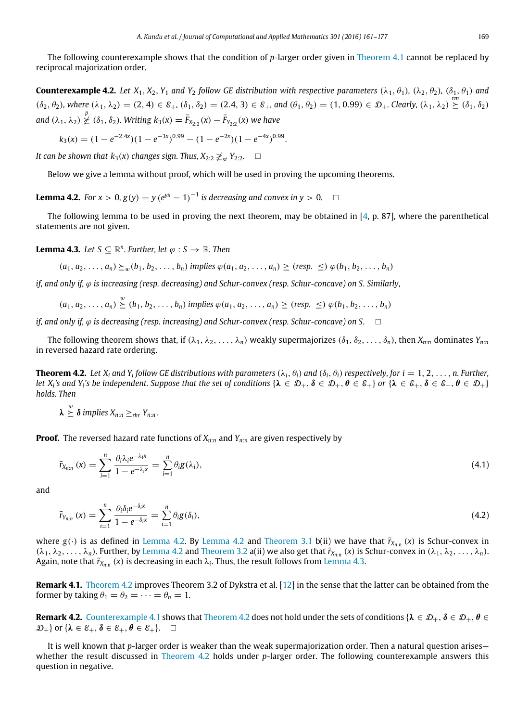The following counterexample shows that the condition of *p*-larger order given in [Theorem 4.1](#page-7-0) cannot be replaced by reciprocal majorization order.

**Counterexample 4.2.** *Let*  $X_1, X_2, Y_1$  *and*  $Y_2$  *follow GE distribution with respective parameters*  $(\lambda_1, \theta_1)$ *,*  $(\lambda_2, \theta_2)$ *,*  $(\delta_1, \theta_1)$  *and*  $(\delta_2, \theta_2)$ , where  $(\lambda_1, \lambda_2) = (2, 4) \in \mathcal{E}_+, (\delta_1, \delta_2) = (2.4, 3) \in \mathcal{E}_+,$  and  $(\theta_1, \theta_2) = (1, 0.99) \in \mathcal{D}_+.$  Clearly,  $(\lambda_1, \lambda_2) \stackrel{rm}{\simeq} (\delta_1, \delta_2)$ *and*  $(\lambda_1, \lambda_2) \nleq (\delta_1, \delta_2)$ *. Writing*  $k_3(x) = \bar{F}_{X_{2:2}}(x) - \bar{F}_{Y_{2:2}}(x)$  we have

$$
k_3(x) = (1 - e^{-2.4x})(1 - e^{-3x})^{0.99} - (1 - e^{-2x})(1 - e^{-4x})^{0.99}.
$$

*It can be shown that k*<sub>3</sub>(*x*) *changes sign. Thus,*  $X_{2:2} \not\geq_{st} Y_{2:2}$ *.*  $\Box$ 

<span id="page-8-0"></span>Below we give a lemma without proof, which will be used in proving the upcoming theorems.

**Lemma 4.2.** *For x* > 0,  $g(y) = y (e^{y(x)} - 1)^{-1}$  *is decreasing and convex in y* > 0. □

The following lemma to be used in proving the next theorem, may be obtained in [\[4,](#page-16-3) p. 87], where the parenthetical statements are not given.

**Lemma 4.3.** *Let*  $S \subseteq \mathbb{R}^n$ *. Further, let*  $\varphi : S \to \mathbb{R}$ *. Then* 

<span id="page-8-1"></span> $(a_1, a_2, \ldots, a_n) \succeq_w (b_1, b_2, \ldots, b_n)$  implies  $\varphi(a_1, a_2, \ldots, a_n) \geq (resp. \leq) \varphi(b_1, b_2, \ldots, b_n)$ 

*if, and only if,* ϕ *is increasing (resp. decreasing) and Schur-convex (resp. Schur-concave) on S. Similarly,*

$$
(a_1, a_2, \ldots, a_n) \stackrel{w}{\succeq} (b_1, b_2, \ldots, b_n) \text{ implies } \varphi(a_1, a_2, \ldots, a_n) \geq (resp. \leq) \varphi(b_1, b_2, \ldots, b_n)
$$

*if, and only if,*  $\varphi$  *is decreasing (resp. increasing) and Schur-convex (resp. Schur-concave) on S.*  $\Box$ 

The following theorem shows that, if  $(\lambda_1, \lambda_2, \dots, \lambda_n)$  weakly supermajorizes  $(\delta_1, \delta_2, \dots, \delta_n)$ , then  $X_{n:n}$  dominates  $Y_{n:n}$ in reversed hazard rate ordering.

**Theorem 4.2.** Let X<sub>i</sub> and Y<sub>i</sub> follow GE distributions with parameters ( $\lambda_i$ ,  $\theta_i$ ) and ( $\delta_i$ ,  $\theta_i$ ) respectively, for  $i=1,2,\ldots,n$ . Further, *let*  $X_i$ 's and  $Y_i$ 's be independent. Suppose that the set of conditions  $\{\lambda \in \mathcal{D}_+, \delta \in \mathcal{D}_+, \theta \in \mathcal{E}_+\}$  or  $\{\lambda \in \mathcal{E}_+, \delta \in \mathcal{E}_+$ ,  $\theta \in \mathcal{D}_+\}$ *holds. Then*

<span id="page-8-2"></span> $\lambda \overset{w}{\succeq} \delta$  implies  $X_{n:n} \geq_{rhr} Y_{n:n}$ .

**Proof.** The reversed hazard rate functions of *Xn*:*<sup>n</sup>* and *Yn*:*<sup>n</sup>* are given respectively by

<span id="page-8-3"></span>
$$
\tilde{r}_{X_{n:n}}\left(x\right) = \sum_{i=1}^{n} \frac{\theta_i \lambda_i e^{-\lambda_i x}}{1 - e^{-\lambda_i x}} = \sum_{i=1}^{n} \theta_i g(\lambda_i),\tag{4.1}
$$

and

<span id="page-8-4"></span>
$$
\tilde{r}_{Y_{n:n}}\left(x\right) = \sum_{i=1}^{n} \frac{\theta_i \delta_i e^{-\delta_i x}}{1 - e^{-\delta_i x}} = \sum_{i=1}^{n} \theta_i g(\delta_i),\tag{4.2}
$$

where  $g(\cdot)$  is as defined in [Lemma 4.2.](#page-8-0) By [Lemma 4.2](#page-8-0) and [Theorem 3.1](#page-3-2) b(ii) we have that  $\tilde{r}_{X_{n:n}}(x)$  is Schur-convex in  $(\lambda_1, \lambda_2, \ldots, \lambda_n)$ . Further, by [Lemma 4.2](#page-8-0) and [Theorem 3.2](#page-5-2) a(ii) we also get that  $\tilde{r}_{X_{n:n}}(x)$  is Schur-convex in  $(\lambda_1, \lambda_2, \ldots, \lambda_n)$ . Again, note that  $\tilde{r}_{X_{n:n}}$   $(x)$  is decreasing in each  $\lambda_i$ . Thus, the result follows from [Lemma 4.3.](#page-8-1)

**Remark 4.1.** [Theorem 4.2](#page-8-2) improves Theorem 3.2 of Dykstra et al. [\[12\]](#page-16-9) in the sense that the latter can be obtained from the former by taking  $\theta_1 = \theta_2 = \cdots = \theta_n = 1$ .

**Remark 4.2.** [Counterexample 4.1](#page-7-2) shows that [Theorem 4.2](#page-8-2) does not hold under the sets of conditions { $\lambda \in \mathcal{D}_+$ ,  $\delta \in \mathcal{D}_+$ ,  $\theta \in$  $\mathcal{D}_+$ } or { $\lambda \in \mathcal{E}_+$ ,  $\delta \in \mathcal{E}_+$ ,  $\theta \in \mathcal{E}_+$ }.  $\Box$ 

It is well known that *p*-larger order is weaker than the weak supermajorization order. Then a natural question arises whether the result discussed in [Theorem 4.2](#page-8-2) holds under *p*-larger order. The following counterexample answers this question in negative.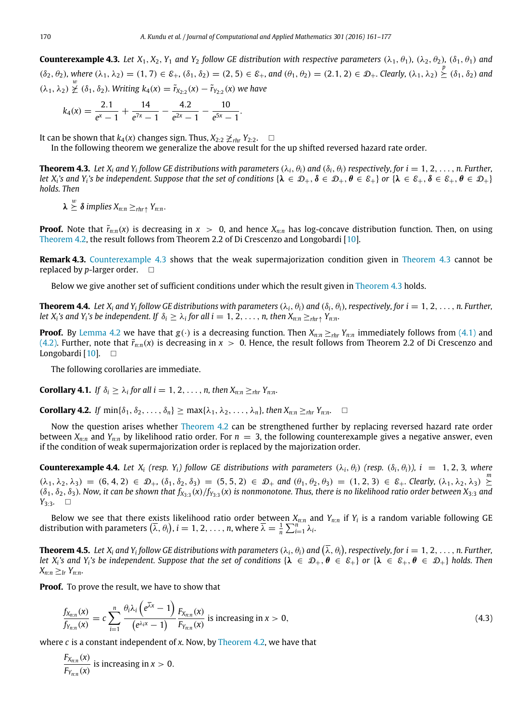**Counterexample 4.3.** *Let*  $X_1, X_2, Y_1$  *and*  $Y_2$  *follow GE distribution with respective parameters*  $(\lambda_1, \theta_1)$ *,*  $(\lambda_2, \theta_2)$ *,*  $(\delta_1, \theta_1)$  *and*  $(\delta_2, \theta_2)$ , where  $(\lambda_1, \lambda_2) = (1, 7) \in \mathcal{E}_+, (\delta_1, \delta_2) = (2, 5) \in \mathcal{E}_+,$  and  $(\theta_1, \theta_2) = (2.1, 2) \in \mathcal{D}_+.$  Clearly,  $(\lambda_1, \lambda_2) \geq (\delta_1, \delta_2)$  and  $(\lambda_1, \lambda_2) \not\succeq (\delta_1, \delta_2)$ . Writing  $k_4(x) = \tilde{r}_{X_{2:2}}(x) - \tilde{r}_{Y_{2:2}}(x)$  we have

<span id="page-9-0"></span>
$$
k_4(x)=\frac{2.1}{e^x-1}+\frac{14}{e^{7x}-1}-\frac{4.2}{e^{2x}-1}-\frac{10}{e^{5x}-1}.
$$

It can be shown that  $k_4(x)$  changes sign. Thus,  $X_{2:2}$   $\geq$ <sub>*rhr*</sub>  $Y_{2:2}$ . □

<span id="page-9-1"></span>In the following theorem we generalize the above result for the up shifted reversed hazard rate order.

**Theorem 4.3.** Let  $X_i$  and  $Y_i$  follow GE distributions with parameters  $(\lambda_i, \theta_i)$  and  $(\delta_i, \theta_i)$  respectively, for  $i = 1, 2, \ldots, n$ . Further, *let*  $X_i$ 's and  $Y_i$ 's be independent. Suppose that the set of conditions  $\{\lambda \in \mathcal{D}_+, \delta \in \mathcal{D}_+, \delta \in \mathcal{E}_+\}$  or  $\{\lambda \in \mathcal{E}_+, \delta \in \mathcal{E}_+$ ,  $\delta \in \mathcal{E}_+$ ,  $\delta \in \mathcal{D}_+\}$ *holds. Then*

$$
\lambda \overset{w}{\succeq} \delta
$$
 implies  $X_{n:n} \geq_{rhr\uparrow} Y_{n:n}$ .

**Proof.** Note that  $\tilde{r}_{n:n}(x)$  is decreasing in  $x > 0$ , and hence  $X_{n:n}$  has log-concave distribution function. Then, on using [Theorem 4.2,](#page-8-2) the result follows from Theorem 2.2 of Di Crescenzo and Longobardi [\[10\]](#page-16-13).

**Remark 4.3.** [Counterexample 4.3](#page-9-0) shows that the weak supermajorization condition given in [Theorem 4.3](#page-9-1) cannot be replaced by *p*-larger order.  $\Box$ 

Below we give another set of sufficient conditions under which the result given in [Theorem 4.3](#page-9-1) holds.

**Theorem 4.4.** Let X<sub>i</sub> and Y<sub>i</sub> follow GE distributions with parameters ( $\lambda_i$ ,  $\theta_i$ ) and ( $\delta_i$ ,  $\theta_i$ ), respectively, for  $i=1,2,\ldots,n$ . Further, let  $X_i$ 's and  $Y_i$ 's be independent. If  $\delta_i \geq \lambda_i$  for all  $i = 1, 2, \ldots, n$ , then  $X_{n:n} \geq_{rhr\uparrow} Y_{n:n}$ .

**Proof.** By [Lemma 4.2](#page-8-0) we have that  $g(\cdot)$  is a decreasing function. Then  $X_{n:n} \geq_{rhr} Y_{n:n}$  immediately follows from [\(4.1\)](#page-8-3) and [\(4.2\).](#page-8-4) Further, note that  $\tilde{r}_{n:n}(x)$  is decreasing in  $x > 0$ . Hence, the result follows from Theorem 2.2 of Di Crescenzo and Longobardi [\[10\]](#page-16-13).  $\square$ 

The following corollaries are immediate.

**Corollary 4.1.** *If*  $\delta_i \geq \lambda_i$  for all  $i = 1, 2, ..., n$ , then  $X_{n:n} \geq_{rhr} Y_{n:n}$ .

<span id="page-9-3"></span>**Corollary 4.2.** *If*  $\min{\{\delta_1, \delta_2, \ldots, \delta_n\}}$  >  $\max{\{\lambda_1, \lambda_2, \ldots, \lambda_n\}}$ , then  $X_{n:n}$  >  $r$ <sub>*n*</sub>  $r$ <sub>*n*</sub>.  $\Box$ 

Now the question arises whether [Theorem 4.2](#page-8-2) can be strengthened further by replacing reversed hazard rate order between  $X_{n:n}$  and  $Y_{n:n}$  by likelihood ratio order. For  $n = 3$ , the following counterexample gives a negative answer, even if the condition of weak supermajorization order is replaced by the majorization order.

**Counterexample 4.4.** Let  $X_i$  (resp.  $Y_i$ ) follow GE distributions with parameters  $(\lambda_i, \theta_i)$  (resp.  $(\delta_i, \theta_i)$ ),  $i = 1, 2, 3$ , where  $(\lambda_1, \lambda_2, \lambda_3) = (6, 4, 2) \in \mathcal{D}_+, (\delta_1, \delta_2, \delta_3) = (5, 5, 2) \in \mathcal{D}_+$  and  $(\theta_1, \theta_2, \theta_3) = (1, 2, 3) \in \mathcal{E}_+$ . Clearly,  $(\lambda_1, \lambda_2, \lambda_3) \succeq$  $(\delta_1, \delta_2, \delta_3)$ . Now, it can be shown that  $f_{X_{3:3}}(x)/f_{Y_{3:3}}(x)$  is nonmonotone. Thus, there is no likelihood ratio order between  $X_{3:3}$  and *Y*<sub>3:3</sub>*.* □

Below we see that there exists likelihood ratio order between *Xn*:*<sup>n</sup>* and *Yn*:*<sup>n</sup>* if *Y<sup>i</sup>* is a random variable following GE distribution with parameters  $(\bar{\lambda}, \theta_i)$ ,  $i = 1, 2, ..., n$ , where  $\bar{\lambda} = \frac{1}{n} \sum_{i=1}^n \lambda_i$ .

**Theorem 4.5.** Let X<sub>i</sub> and Y<sub>i</sub> follow GE distributions with parameters  $(\lambda_i, \theta_i)$  and  $(\overline{\lambda}, \theta_i)$ , respectively, for  $i=1,2,\ldots,$  n. Further, *let X*<sub>i</sub>'s and *Y*<sub>i</sub>'s be independent. Suppose that the set of conditions  $\{\lambda \in \mathcal{D}_+, \theta \in \mathcal{E}_+\}$  or  $\{\lambda \in \mathcal{E}_+, \theta \in \mathcal{D}_+\}$  holds. Then  $X_{n:n} \geq l_r Y_{n:n}$ .

**Proof.** To prove the result, we have to show that

<span id="page-9-2"></span>
$$
\frac{f_{X_{n:n}}(x)}{f_{Y_{n:n}}(x)} = c \sum_{i=1}^{n} \frac{\theta_i \lambda_i \left(e^{\overline{\lambda} x} - 1\right)}{\left(e^{\lambda_i x} - 1\right)} \frac{F_{X_{n:n}}(x)}{F_{Y_{n:n}}(x)} \text{ is increasing in } x > 0,
$$
\n(4.3)

where *c* is a constant independent of *x*. Now, by [Theorem 4.2,](#page-8-2) we have that

*F<sup>X</sup>n*:*<sup>n</sup>* (*x*)  $\frac{F_{X_{n:n}}(x)}{F_{Y_{n:n}}(x)}$  is increasing in  $x > 0$ .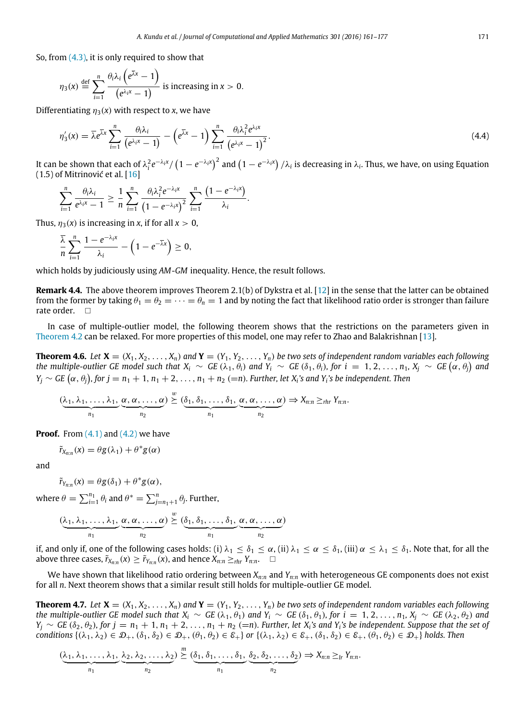So, from  $(4.3)$ , it is only required to show that

$$
\eta_3(x) \stackrel{\text{def}}{=} \sum_{i=1}^n \frac{\theta_i \lambda_i \left( e^{\overline{\lambda} x} - 1 \right)}{\left( e^{\lambda_i x} - 1 \right)}
$$
 is increasing in  $x > 0$ .

Differentiating  $\eta_3(x)$  with respect to *x*, we have

$$
\eta_3'(x) = \overline{\lambda}e^{\overline{\lambda}x} \sum_{i=1}^n \frac{\theta_i \lambda_i}{\left(e^{\lambda_i x} - 1\right)} - \left(e^{\overline{\lambda}x} - 1\right) \sum_{i=1}^n \frac{\theta_i \lambda_i^2 e^{\lambda_i x}}{\left(e^{\lambda_i x} - 1\right)^2}.
$$
\n(4.4)

It can be shown that each of  $\lambda_i^2 e^{-\lambda_i x}/\left(1-e^{-\lambda_i x}\right)^2$  and  $\left(1-e^{-\lambda_i x}\right)/\lambda_i$  is decreasing in  $\lambda_i$ . Thus, we have, on using Equation (1.5) of Mitrinović et al. [\[16\]](#page-16-14)

$$
\sum_{i=1}^n \frac{\theta_i \lambda_i}{e^{\lambda_i x} - 1} \geq \frac{1}{n} \sum_{i=1}^n \frac{\theta_i \lambda_i^2 e^{-\lambda_i x}}{\left(1 - e^{-\lambda_i x}\right)^2} \sum_{i=1}^n \frac{\left(1 - e^{-\lambda_i x}\right)}{\lambda_i}.
$$

Thus,  $\eta_3(x)$  is increasing in *x*, if for all  $x > 0$ ,

$$
\frac{\overline{\lambda}}{n}\sum_{i=1}^n\frac{1-e^{-\lambda_i x}}{\lambda_i}-\left(1-e^{-\overline{\lambda}x}\right)\geq 0,
$$

which holds by judiciously using *AM*-*GM* inequality. Hence, the result follows.

**Remark 4.4.** The above theorem improves Theorem 2.1(b) of Dykstra et al. [\[12\]](#page-16-9) in the sense that the latter can be obtained from the former by taking  $\theta_1 = \theta_2 = \cdots = \theta_n = 1$  and by noting the fact that likelihood ratio order is stronger than failure rate order. □

In case of multiple-outlier model, the following theorem shows that the restrictions on the parameters given in [Theorem 4.2](#page-8-2) can be relaxed. For more properties of this model, one may refer to Zhao and Balakrishnan [\[13\]](#page-16-10).

**Theorem 4.6.** Let  $X = (X_1, X_2, \ldots, X_n)$  and  $Y = (Y_1, Y_2, \ldots, Y_n)$  be two sets of independent random variables each following the multiple-outlier GE model such that  $X_i \sim$  GE ( $\lambda_1,\theta_i)$  and  $Y_i \sim$  GE ( $\delta_1,\theta_i)$ , for  $i~=~1,~2,~\ldots,~n_1,~X_j \sim$  GE  $(\alpha,\theta_j)$  and  $Y_j \sim GE\left(\alpha, \theta_j\right)$ , for  $j = n_1 + 1, n_1 + 2, \ldots, n_1 + n_2 \ (=n)$ . Further, let X<sub>i</sub>'s and Y<sub>i</sub>'s be independent. Then

<span id="page-10-1"></span>
$$
(\underbrace{\lambda_1, \lambda_1, \ldots, \lambda_1}_{n_1}, \underbrace{\alpha, \alpha, \ldots, \alpha}_{n_2}) \stackrel{w}{\succeq} (\underbrace{\delta_1, \delta_1, \ldots, \delta_1}_{n_1}, \underbrace{\alpha, \alpha, \ldots, \alpha}_{n_2}) \Rightarrow X_{n:n} \geq_{rhr} Y_{n:n}.
$$

**Proof.** From  $(4.1)$  and  $(4.2)$  we have

$$
\tilde{r}_{X_{n:n}}(x) = \theta g(\lambda_1) + \theta^* g(\alpha)
$$

and

$$
\tilde{r}_{Y_{n:n}}(x) = \theta g(\delta_1) + \theta^* g(\alpha),
$$

where  $\theta = \sum_{i=1}^{n_1} \theta_i$  and  $\theta^* = \sum_{j=n_1+1}^{n} \theta_j$ . Further,

$$
(\underbrace{\lambda_1, \lambda_1, \ldots, \lambda_1}_{n_1}, \underbrace{\alpha, \alpha, \ldots, \alpha}_{n_2}) \stackrel{w}{\succeq} (\underbrace{\delta_1, \delta_1, \ldots, \delta_1}_{n_1}, \underbrace{\alpha, \alpha, \ldots, \alpha}_{n_2})
$$

if, and only if, one of the following cases holds: (i)  $\lambda_1 \leq \delta_1 \leq \alpha$ , (ii)  $\lambda_1 \leq \alpha \leq \delta_1$ , (iii)  $\alpha \leq \lambda_1 \leq \delta_1$ . Note that, for all the above three cases,  $\tilde{r}_{X_{n:n}}(x) \geq \tilde{r}_{Y_{n:n}}(x)$ , and hence  $X_{n:n} \geq_{rhr} Y_{n:n}$ .  $\Box$ 

We have shown that likelihood ratio ordering between *Xn*:*<sup>n</sup>* and *Yn*:*<sup>n</sup>* with heterogeneous GE components does not exist for all *n*. Next theorem shows that a similar result still holds for multiple-outlier GE model.

<span id="page-10-0"></span>**Theorem 4.7.** Let  $X = (X_1, X_2, ..., X_n)$  and  $Y = (Y_1, Y_2, ..., Y_n)$  be two sets of independent random variables each following *the multiple-outlier GE model such that*  $X_i \sim GE(\lambda_1, \theta_1)$  *and*  $Y_i \sim GE(\delta_1, \theta_1)$ *, for*  $i = 1, 2, ..., n_1$ *,*  $X_i \sim GE(\lambda_2, \theta_2)$  *and*  $Y_j \sim GE(\delta_2, \theta_2)$ , for  $j = n_1 + 1, n_1 + 2, \ldots, n_1 + n_2$  (=n). Further, let  $X_i$ 's and  $Y_i$ 's be independent. Suppose that the set of *conditions*  $\{\lambda_1, \lambda_2\} \in \mathcal{D}_+$ ,  $(\delta_1, \delta_2) \in \mathcal{D}_+$ ,  $(\theta_1, \theta_2) \in \mathcal{E}_+$  *or*  $\{\lambda_1, \lambda_2\} \in \mathcal{E}_+$ ,  $(\delta_1, \delta_2) \in \mathcal{E}_+$ ,  $(\theta_1, \theta_2) \in \mathcal{D}_+$  *holds. Then* 

$$
(\underbrace{\lambda_1, \lambda_1, \ldots, \lambda_1}_{n_1}, \underbrace{\lambda_2, \lambda_2, \ldots, \lambda_2}_{n_2}) \stackrel{m}{\succeq} (\underbrace{\delta_1, \delta_1, \ldots, \delta_1}_{n_1}, \underbrace{\delta_2, \delta_2, \ldots, \delta_2}_{n_2}) \Rightarrow X_{n:n} \geq_{lr} Y_{n:n}.
$$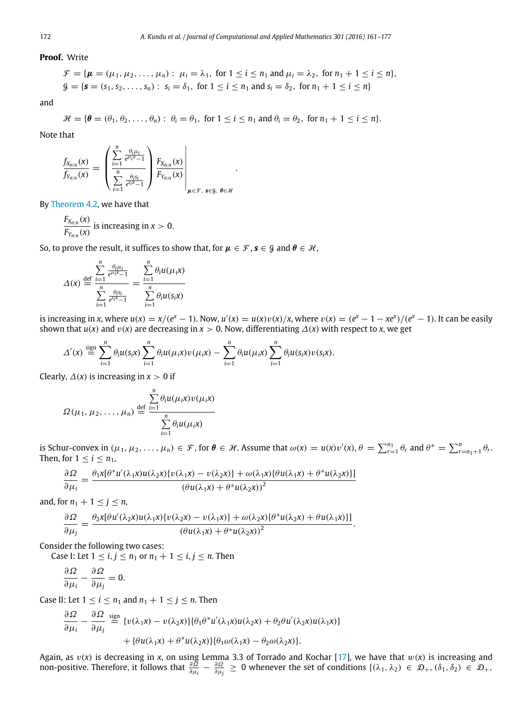**Proof.** Write

$$
\mathcal{F} = \{ \mu = (\mu_1, \mu_2, \dots, \mu_n) : \mu_i = \lambda_1, \text{ for } 1 \le i \le n_1 \text{ and } \mu_i = \lambda_2, \text{ for } n_1 + 1 \le i \le n \},
$$
  

$$
\mathcal{G} = \{ \mathbf{s} = (s_1, s_2, \dots, s_n) : s_i = \delta_1, \text{ for } 1 \le i \le n_1 \text{ and } s_i = \delta_2, \text{ for } n_1 + 1 \le i \le n \}
$$

and

$$
\mathcal{H} = \{ \theta = (\theta_1, \theta_2, \dots, \theta_n) : \theta_i = \theta_1, \text{ for } 1 \leq i \leq n_1 \text{ and } \theta_i = \theta_2, \text{ for } n_1 + 1 \leq i \leq n \}.
$$

.

Note that

$$
\frac{f_{X_{n:n}}(x)}{f_{Y_{n:n}}(x)} = \left( \frac{\sum_{i=1}^n \frac{\theta_i \mu_i}{e^{\mu_i x} - 1}}{\sum_{i=1}^n \frac{\theta_i s_i}{e^{\xi_i x} - 1}} \right) \frac{F_{X_{n:n}}(x)}{F_{Y_{n:n}}(x)} \Bigg|_{\mu \in \mathcal{F}, \ s \in \mathcal{G}, \ \theta \in \mathcal{H}}
$$

By [Theorem 4.2,](#page-8-2) we have that

$$
\frac{F_{X_{n:n}}(x)}{F_{Y_{n:n}}(x)}
$$
 is increasing in  $x > 0$ .

So, to prove the result, it suffices to show that, for  $\mu \in \mathcal{F}$ ,  $s \in \mathcal{G}$  and  $\theta \in \mathcal{H}$ ,

$$
\Delta(x) \stackrel{\text{def}}{=} \frac{\sum\limits_{i=1}^{n} \frac{\theta_i \mu_i}{e^{\mu_i x} - 1}}{\sum\limits_{i=1}^{n} \frac{\theta_i s_i}{e^{\delta_i x} - 1}} = \frac{\sum\limits_{i=1}^{n} \theta_i u(\mu_i x)}{\sum\limits_{i=1}^{n} \theta_i u(s_i x)}
$$

is increasing in x, where  $u(x) = x/(e^x - 1)$ . Now,  $u'(x) = u(x)v(x)/x$ , where  $v(x) = (e^x - 1 - xe^x)/(e^x - 1)$ . It can be easily shown that  $u(x)$  and  $v(x)$  are decreasing in  $x > 0$ . Now, differentiating  $\Delta(x)$  with respect to *x*, we get

$$
\Delta'(x) \stackrel{\text{sign}}{=} \sum_{i=1}^n \theta_i u(s_i x) \sum_{i=1}^n \theta_i u(\mu_i x) v(\mu_i x) - \sum_{i=1}^n \theta_i u(\mu_i x) \sum_{i=1}^n \theta_i u(s_i x) v(s_i x).
$$

Clearly,  $\Delta(x)$  is increasing in  $x > 0$  if

$$
\Omega(\mu_1, \mu_2, \dots, \mu_n) \stackrel{\text{def}}{=} \frac{\sum\limits_{i=1}^n \theta_i u(\mu_i x) v(\mu_i x)}{\sum\limits_{i=1}^n \theta_i u(\mu_i x)}
$$

is Schur-convex in  $(\mu_1, \mu_2, \ldots, \mu_n) \in \mathcal{F}$ , for  $\theta \in \mathcal{H}$ . Assume that  $\omega(x) = u(x)v'(x)$ ,  $\theta = \sum_{r=1}^{n_1} \theta_r$  and  $\theta^* = \sum_{r=n_1+1}^{n} \theta_r$ . Then, for  $1 \leq i \leq n_1$ ,

$$
\frac{\partial \Omega}{\partial \mu_i} = \frac{\theta_1 x [\theta^* u'(\lambda_1 x) u(\lambda_2 x) \{v(\lambda_1 x) - v(\lambda_2 x)\} + \omega(\lambda_1 x) \{\theta u(\lambda_1 x) + \theta^* u(\lambda_2 x)\}]}{(\theta u(\lambda_1 x) + \theta^* u(\lambda_2 x))^2}
$$

and, for  $n_1 + 1 \le j \le n$ ,

$$
\frac{\partial \Omega}{\partial \mu_j} = \frac{\theta_2 x [\theta u'(\lambda_2 x) u(\lambda_1 x) \{v(\lambda_2 x) - v(\lambda_1 x)\} + \omega(\lambda_2 x) \{\theta^* u(\lambda_2 x) + \theta u(\lambda_1 x)\}]}{(\theta u(\lambda_1 x) + \theta^* u(\lambda_2 x))^2}.
$$

Consider the following two cases:

Case I: Let  $1 \le i, j \le n_1$  or  $n_1 + 1 \le i, j \le n$ . Then

$$
\frac{\partial \Omega}{\partial \mu_i} - \frac{\partial \Omega}{\partial \mu_j} = 0.
$$

∂Ω

Case II: Let  $1 \le i \le n_1$  and  $n_1 + 1 \le j \le n$ . Then

$$
\frac{\partial \Omega}{\partial \mu_i} - \frac{\partial \Omega}{\partial \mu_j} \stackrel{\text{sign}}{=} \{v(\lambda_1 x) - v(\lambda_2 x)\}\{\theta_1 \theta^* u'(\lambda_1 x)u(\lambda_2 x) + \theta_2 \theta u'(\lambda_2 x)u(\lambda_1 x)\} + \{\theta u(\lambda_1 x) + \theta^* u(\lambda_2 x)\}\{\theta_1 \omega(\lambda_1 x) - \theta_2 \omega(\lambda_2 x)\}.
$$

Again, as v(*x*) is decreasing in *x*, on using Lemma 3.3 of Torrado and Kochar [\[17\]](#page-16-15), we have that w(*x*) is increasing and non-positive. Therefore, it follows that  $\frac{\partial \Omega}{\partial \mu_i} - \frac{\partial \Omega}{\partial \mu_j} \geq 0$  whenever the set of conditions  $\{(\lambda_1, \lambda_2) \in \mathcal{D}_+, (\delta_1, \delta_2) \in \mathcal{D}_+,$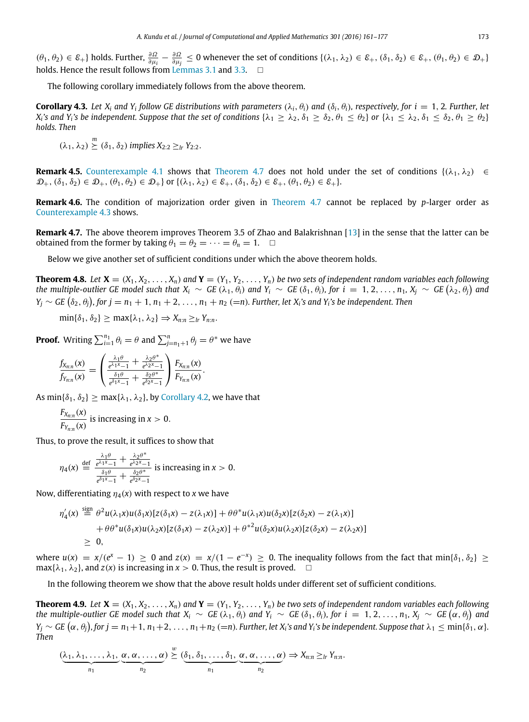$(\theta_1, \theta_2) \in \mathcal{E}_+$ } holds. Further,  $\frac{\partial \Omega}{\partial \mu_i} - \frac{\partial \Omega}{\partial \mu_j} \leq 0$  whenever the set of conditions  $\{(\lambda_1, \lambda_2) \in \mathcal{E}_+$ ,  $(\delta_1, \delta_2) \in \mathcal{E}_+$ ,  $(\theta_1, \theta_2) \in \mathcal{D}_+$ } holds. Hence the result follows from [Lemmas 3.1](#page-3-3) and [3.3.](#page-5-0)

The following corollary immediately follows from the above theorem.

**Corollary 4.3.** Let  $X_i$  and  $Y_i$  follow GE distributions with parameters  $(\lambda_i, \theta_i)$  and  $(\delta_i, \theta_i)$ , respectively, for  $i = 1, 2$ . Further, let  $X_i$ 's and  $Y_i$ 's be independent. Suppose that the set of conditions  $\{\lambda_1\ge\lambda_2, \delta_1\le\delta_2, \theta_1\le\theta_2\}$  or  $\{\lambda_1\le\lambda_2, \delta_1\le\delta_2, \theta_1\ge\theta_2\}$ *holds. Then*

$$
(\lambda_1, \lambda_2) \overset{m}{\succeq} (\delta_1, \delta_2)
$$
 implies  $X_{2:2} \geq_{lr} Y_{2:2}$ .

**Remark 4.5.** [Counterexample 4.1](#page-7-2) shows that [Theorem 4.7](#page-10-0) does not hold under the set of conditions  $\{(\lambda_1, \lambda_2) \in$  $\mathcal{D}_+$ ,  $(\delta_1, \delta_2) \in \mathcal{D}_+$ ,  $(\theta_1, \theta_2) \in \mathcal{D}_+$  or  $\{(\lambda_1, \lambda_2) \in \mathcal{E}_+$ ,  $(\delta_1, \delta_2) \in \mathcal{E}_+$ ,  $(\theta_1, \theta_2) \in \mathcal{E}_+$ .

**Remark 4.6.** The condition of majorization order given in [Theorem 4.7](#page-10-0) cannot be replaced by *p*-larger order as [Counterexample 4.3](#page-9-0) shows.

**Remark 4.7.** The above theorem improves Theorem 3.5 of Zhao and Balakrishnan [\[13\]](#page-16-10) in the sense that the latter can be obtained from the former by taking  $\theta_1 = \theta_2 = \cdots = \theta_n = 1$ .  $\Box$ 

Below we give another set of sufficient conditions under which the above theorem holds.

**Theorem 4.8.** Let  $X = (X_1, X_2, \ldots, X_n)$  and  $Y = (Y_1, Y_2, \ldots, Y_n)$  be two sets of independent random variables each following the multiple-outlier GE model such that  $X_i \sim GE(\lambda_1, \theta_i)$  and  $Y_i \sim GE(\delta_1, \theta_i)$ , for  $i = 1, 2, ..., n_1, X_j \sim GE(\lambda_2, \theta_i)$  and  $Y_j \sim$  *GE*  $(\delta_2, \theta_j)$ , for  $j = n_1 + 1, n_1 + 2, \ldots, n_1 + n_2$  (=n). Further, let  $X_i$ 's and  $Y_i$ 's be independent. Then

$$
\min\{\delta_1,\delta_2\}\geq \max\{\lambda_1,\lambda_2\}\Rightarrow X_{n:n}\geq_{lr}Y_{n:n}.
$$

**Proof.** Writing  $\sum_{i=1}^{n_1} \theta_i = \theta$  and  $\sum_{j=n_1+1}^{n} \theta_j = \theta^*$  we have

$$
\frac{f_{X_{n:n}}(x)}{f_{Y_{n:n}}(x)} = \left(\frac{\frac{\lambda_1\theta}{e^{\lambda_1 x}-1} + \frac{\lambda_2\theta^*}{e^{\lambda_2 x}-1}}{\frac{\delta_1\theta}{e^{\delta_1 x}-1} + \frac{\delta_2\theta^*}{e^{\delta_2 x}-1}}\right) \frac{F_{X_{n:n}}(x)}{F_{Y_{n:n}}(x)}.
$$

As  $\min\{\delta_1, \delta_2\}$  >  $\max\{\lambda_1, \lambda_2\}$ , by [Corollary 4.2,](#page-9-3) we have that

$$
\frac{F_{X_{n:n}}(x)}{F_{Y_{n:n}}(x)}
$$
 is increasing in  $x > 0$ .

Thus, to prove the result, it suffices to show that

$$
\eta_4(x) \stackrel{\text{def}}{=} \frac{\frac{\lambda_1 \theta}{e^{\lambda_1 x} - 1} + \frac{\lambda_2 \theta^*}{e^{\lambda_2 x} - 1}}{\frac{\delta_1 \theta}{e^{\delta_1 x} - 1} + \frac{\delta_2 \theta^*}{e^{\delta_2 x} - 1}} \text{ is increasing in } x > 0.
$$

Now, differentiating  $\eta_4(x)$  with respect to *x* we have

$$
\eta_4'(x) \stackrel{\text{sign}}{=} \theta^2 u(\lambda_1 x) u(\delta_1 x) [z(\delta_1 x) - z(\lambda_1 x)] + \theta \theta^* u(\lambda_1 x) u(\delta_2 x) [z(\delta_2 x) - z(\lambda_1 x)] + \theta \theta^* u(\delta_1 x) u(\lambda_2 x) [z(\delta_1 x) - z(\lambda_2 x)] + \theta^{*2} u(\delta_2 x) u(\lambda_2 x) [z(\delta_2 x) - z(\lambda_2 x)] \geq 0,
$$

where  $u(x) = x/(e^x - 1) \ge 0$  and  $z(x) = x/(1 - e^{-x}) \ge 0$ . The inequality follows from the fact that min{ $\delta_1, \delta_2$ }  $\ge$  $max{\{\lambda_1, \lambda_2\}}$ , and  $z(x)$  is increasing in  $x > 0$ . Thus, the result is proved.  $\square$ 

<span id="page-12-0"></span>In the following theorem we show that the above result holds under different set of sufficient conditions.

**Theorem 4.9.** Let  $X = (X_1, X_2, \ldots, X_n)$  and  $Y = (Y_1, Y_2, \ldots, Y_n)$  be two sets of independent random variables each following the multiple-outlier GE model such that  $X_i \sim GE(\lambda_1, \theta_i)$  and  $Y_i \sim GE(\delta_1, \theta_i)$ , for  $i = 1, 2, ..., n_1, X_j \sim GE(\alpha, \theta_i)$  and  $Y_j \sim$  GE  $(\alpha, \theta_j)$ , for  $j = n_1 + 1, n_1 + 2, \ldots, n_1 + n_2$  (=n). Further, let X<sub>i</sub>'s and Y<sub>i</sub>'s be independent. Suppose that  $\lambda_1 \le \min\{\delta_1, \alpha\}$ . *Then*

$$
(\underbrace{\lambda_1, \lambda_1, \ldots, \lambda_1}_{n_1}, \underbrace{\alpha, \alpha, \ldots, \alpha}_{n_2}) \geq (\underbrace{\delta_1, \delta_1, \ldots, \delta_1}_{n_1}, \underbrace{\alpha, \alpha, \ldots, \alpha}_{n_2}) \Rightarrow X_{n:n} \geq_{lr} Y_{n:n}.
$$

 $\overline{w}$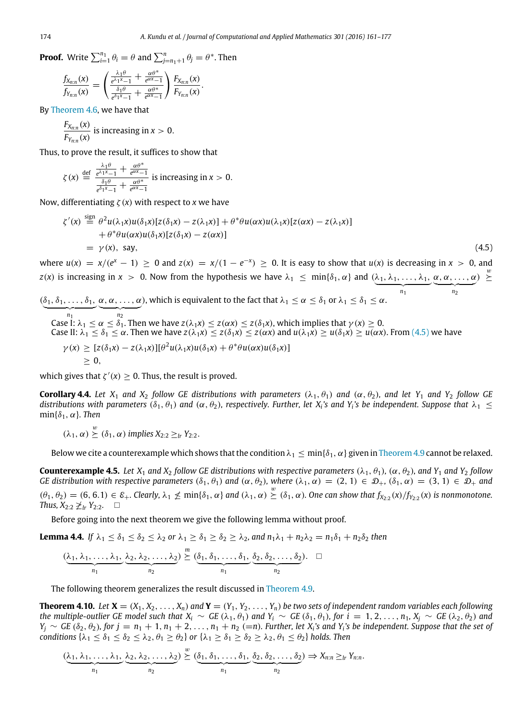**Proof.** Write  $\sum_{i=1}^{n_1} \theta_i = \theta$  and  $\sum_{j=n_1+1}^{n} \theta_j = \theta^*$ . Then

$$
\frac{f_{X_{n:n}}(x)}{f_{Y_{n:n}}(x)} = \left(\frac{\frac{\lambda_1\theta}{e^{\lambda_1x}-1} + \frac{\alpha\theta^*}{e^{\alpha x}-1}}{\frac{\delta_1\theta}{e^{\delta_1x}-1} + \frac{\alpha\theta^*}{e^{\alpha x}-1}}\right) \frac{F_{X_{n:n}}(x)}{F_{Y_{n:n}}(x)}.
$$

By [Theorem 4.6,](#page-10-1) we have that

$$
\frac{F_{X_{n:n}}(x)}{F_{Y_{n:n}}(x)}
$$
 is increasing in  $x > 0$ .

Thus, to prove the result, it suffices to show that

$$
\zeta(x) \stackrel{\text{def}}{=} \frac{\frac{\lambda_1 \theta}{e^{\lambda_1 x} - 1} + \frac{\alpha \theta^*}{e^{\alpha x} - 1}}{\frac{\delta_1 \theta}{e^{\delta_1 x} - 1} + \frac{\alpha \theta^*}{e^{\alpha x} - 1}} \text{ is increasing in } x > 0.
$$

Now, differentiating ζ(*x*) with respect to *x* we have

$$
\zeta'(x) \stackrel{\text{sign}}{=} \theta^2 u(\lambda_1 x) u(\delta_1 x) [z(\delta_1 x) - z(\lambda_1 x)] + \theta^* \theta u(\alpha x) u(\lambda_1 x) [z(\alpha x) - z(\lambda_1 x)] \n+ \theta^* \theta u(\alpha x) u(\delta_1 x) [z(\delta_1 x) - z(\alpha x)] \n= \gamma(x), \text{ say,}
$$
\n(4.5)

 $\frac{1}{n_1}$ *n*1

<span id="page-13-0"></span> $\frac{1}{n_2}$ *n*2

where  $u(x) = x/(e^x - 1) \ge 0$  and  $z(x) = x/(1 - e^{-x}) \ge 0$ . It is easy to show that  $u(x)$  is decreasing in  $x > 0$ , and *z*(*x*) is increasing in *x* > 0. Now from the hypothesis we have  $\lambda_1 \leq \min\{\delta_1, \alpha\}$  and  $(\lambda_1, \lambda_1, \ldots, \lambda_1, \alpha, \alpha, \ldots, \alpha) \geq$ 

 $(\delta_1, \delta_1, \ldots, \delta_1,$  $\alpha, \alpha, \ldots, \alpha$ ), which is equivalent to the fact that  $\lambda_1 \leq \alpha \leq \delta_1$  or  $\lambda_1 \leq \delta_1 \leq \alpha$ .

Case I: 
$$
\lambda_1 \leq \alpha \leq \delta_1
$$
. Then we have  $z(\lambda_1 x) \leq z(\alpha x) \leq z(\delta_1 x)$ , which implies that  $\gamma(x) \geq 0$ .  
\nCase II:  $\lambda_1 \leq \delta_1 \leq \alpha$ . Then we have  $z(\lambda_1 x) \leq z(\delta_1 x) \leq z(\alpha x)$  and  $u(\lambda_1 x) \geq u(\delta_1 x) \geq u(\alpha x)$ . From (4.5) we have  $\gamma(x) \geq [z(\delta_1 x) - z(\lambda_1 x)][\theta^2 u(\lambda_1 x)u(\delta_1 x) + \theta^* \theta u(\alpha x)u(\delta_1 x)]$   
\n $\geq 0$ ,

which gives that  $\zeta'(x) \geq 0$ . Thus, the result is proved.

**Corollary 4.4.** Let  $X_1$  and  $X_2$  follow GE distributions with parameters  $(\lambda_1, \theta_1)$  and  $(\alpha, \theta_2)$ , and let  $Y_1$  and  $Y_2$  follow GE *distributions with parameters* ( $\delta_1$ ,  $\theta_1$ ) and ( $\alpha$ ,  $\theta_2$ ), respectively. Further, let X<sub>i</sub>'s and Y<sub>i</sub>'s be independent. Suppose that  $\lambda_1 \leq$  $min{\delta_1, \alpha}$ *. Then* 

$$
(\lambda_1, \alpha) \stackrel{\circ}{\succeq} (\delta_1, \alpha)
$$
 implies  $X_{2:2} \geq_{lr} Y_{2:2}$ .

 $\ddot{\phantom{0}}$ 

Below we cite a counterexample which shows that the condition  $\lambda_1 \leq \min{\{\delta_1, \alpha\}}$  given in [Theorem 4.9](#page-12-0) cannot be relaxed.

**Counterexample 4.5.** *Let*  $X_1$  *and*  $X_2$  *follow GE distributions with respective parameters*  $(\lambda_1, \theta_1)$ *,*  $(\alpha, \theta_2)$ *, and*  $Y_1$  *and*  $Y_2$  *follow GE distribution with respective parameters*  $(\delta_1, \theta_1)$  *and*  $(\alpha, \theta_2)$ *, where*  $(\lambda_1, \alpha) = (2, 1) \in \mathcal{D}_+$ ,  $(\delta_1, \alpha) = (3, 1) \in \mathcal{D}_+$  *and*  $(\theta_1, \theta_2) = (6, 6.1) \in \mathcal{E}_+$ . Clearly,  $\lambda_1 \nleq \min\{\delta_1, \alpha\}$  and  $(\lambda_1, \alpha) \geq (\delta_1, \alpha)$ . One can show that  $f_{X_{2,2}}(x)/f_{Y_{2,2}}(x)$  is nonmonotone. *Thus,*  $X_{2:2}$   $\geq$ <sub>*lr*</sub>  $Y_{2:2}$ . □

Before going into the next theorem we give the following lemma without proof.

**Lemma 4.4.** *If*  $\lambda_1 \le \delta_1 \le \delta_2 \le \lambda_2$  *or*  $\lambda_1 \ge \delta_1 \ge \delta_2 \ge \lambda_2$ *, and*  $n_1\lambda_1 + n_2\lambda_2 = n_1\delta_1 + n_2\delta_2$  *then* 

<span id="page-13-1"></span>
$$
(\underbrace{\lambda_1, \lambda_1, \ldots, \lambda_1}_{n_1}, \underbrace{\lambda_2, \lambda_2, \ldots, \lambda_2}_{n_2}) \stackrel{m}{\succeq} (\underbrace{\delta_1, \delta_1, \ldots, \delta_1}_{n_1}, \underbrace{\delta_2, \delta_2, \ldots, \delta_2}_{n_2}). \quad \Box
$$

The following theorem generalizes the result discussed in [Theorem 4.9.](#page-12-0)

**Theorem 4.10.** Let  $X = (X_1, X_2, \ldots, X_n)$  and  $Y = (Y_1, Y_2, \ldots, Y_n)$  be two sets of independent random variables each following *the multiple-outlier GE model such that*  $X_i \sim GE(\lambda_1, \theta_1)$  *and*  $Y_i \sim GE(\delta_1, \theta_1)$ , for  $i = 1, 2, ..., n_1$ ,  $X_i \sim GE(\lambda_2, \theta_2)$  *and*  $Y_j \sim GE(\delta_2, \theta_2)$ , for  $j = n_1 + 1, n_1 + 2, \ldots, n_1 + n_2$  (=n). Further, let  $X_i$ 's and  $Y_i$ 's be independent. Suppose that the set of *conditions*  $\{\lambda_1 \leq \delta_1 \leq \delta_2 \leq \lambda_2, \theta_1 \geq \theta_2\}$  *or*  $\{\lambda_1 \geq \delta_1 \geq \delta_2 \geq \lambda_2, \theta_1 \leq \theta_2\}$  *holds. Then* 

$$
(\underbrace{\lambda_1, \lambda_1, \ldots, \lambda_1}_{n_1}, \underbrace{\lambda_2, \lambda_2, \ldots, \lambda_2}_{n_2}) \stackrel{w}{\succeq} (\underbrace{\delta_1, \delta_1, \ldots, \delta_1}_{n_1}, \underbrace{\delta_2, \delta_2, \ldots, \delta_2}_{n_2}) \Rightarrow X_{n:n} \geq_{lr} Y_{n:n}.
$$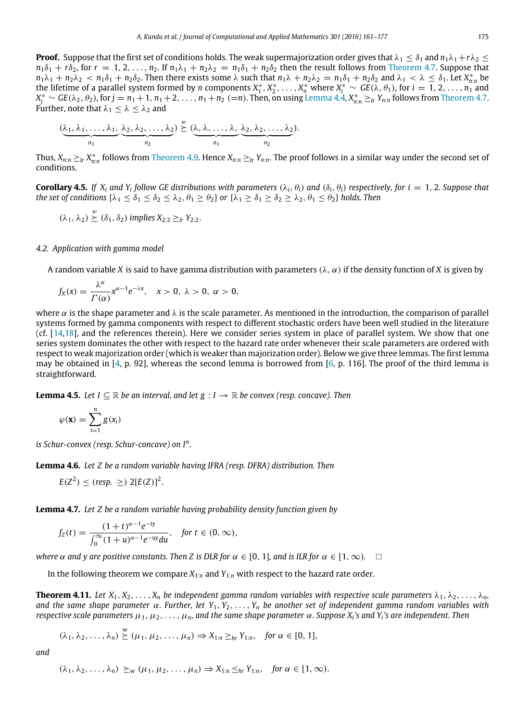**Proof.** Suppose that the first set of conditions holds. The weak supermajorization order gives that  $\lambda_1 \leq \delta_1$  and  $n_1\lambda_1+r\lambda_2 \leq$  $n_1\delta_1 + r\delta_2$ , for  $r = 1, 2, \ldots, n_2$ . If  $n_1\lambda_1 + n_2\lambda_2 = n_1\delta_1 + n_2\delta_2$  then the result follows from [Theorem 4.7.](#page-10-0) Suppose that  $n_1\lambda_1 + n_2\lambda_2 < n_1\delta_1 + n_2\delta_2$ . Then there exists some  $\lambda$  such that  $n_1\lambda + n_2\lambda_2 = n_1\delta_1 + n_2\delta_2$  and  $\lambda_1 < \lambda \leq \delta_1$ . Let  $X_{n:n}^*$  be the lifetime of a parallel system formed by *n* components  $X_1^*, X_2^*, \ldots, X_n^*$  where  $X_i^* \sim GE(\lambda, \theta_1)$ , for  $i = 1, 2, \ldots, n_1$  and  $X_j^* \sim$  GE( $\lambda_2$ ,  $\theta_2$ ), for  $j=n_1+1$ ,  $n_1+2,$   $\dots$ ,  $n_1+n_2$  (=n). Then, on using [Lemma 4.4,](#page-13-1)  $X_{n:n}^*\geq_{lr} Y_{n:n}$  follows from [Theorem 4.7.](#page-10-0) Further, note that  $\lambda_1 \leq \lambda \leq \lambda_2$  and

$$
(\underbrace{\lambda_1, \lambda_1, \ldots, \lambda_1}_{n_1}, \underbrace{\lambda_2, \lambda_2, \ldots, \lambda_2}_{n_2}) \stackrel{w}{\succeq} (\underbrace{\lambda, \lambda, \ldots, \lambda,}_{n_1}, \underbrace{\lambda_2, \lambda_2, \ldots, \lambda_2}_{n_2}).
$$

Thus,  $X_{n:n} \ge_{lr} X_{n:n}^*$  follows from [Theorem 4.9.](#page-12-0) Hence  $X_{n:n} \ge_{lr} Y_{n:n}$ . The proof follows in a similar way under the second set of conditions.

**Corollary 4.5.** If  $X_i$  and  $Y_i$  follow GE distributions with parameters  $(\lambda_i, \theta_i)$  and  $(\delta_i, \theta_i)$  respectively, for  $i = 1, 2$ . Suppose that *the set of conditions*  $\{\lambda_1 \leq \delta_1 \leq \delta_2 \leq \lambda_2, \theta_1 \geq \theta_2\}$  *or*  $\{\lambda_1 \geq \delta_1 \geq \delta_2 \geq \lambda_2, \theta_1 \leq \theta_2\}$  *holds. Then* 

$$
(\lambda_1, \lambda_2) \stackrel{w}{\succeq} (\delta_1, \delta_2) \text{ implies } X_{2:2} \geq_{lr} Y_{2:2}.
$$

#### *4.2. Application with gamma model*

A random variable *X* is said to have gamma distribution with parameters  $(\lambda, \alpha)$  if the density function of *X* is given by

$$
f_X(x)=\frac{\lambda^{\alpha}}{\Gamma(\alpha)}x^{\alpha-1}e^{-\lambda x}, \quad x>0, \lambda>0, \alpha>0,
$$

where  $\alpha$  is the shape parameter and  $\lambda$  is the scale parameter. As mentioned in the introduction, the comparison of parallel systems formed by gamma components with respect to different stochastic orders have been well studied in the literature (cf. [\[14,](#page-16-11)[18\]](#page-16-16), and the references therein). Here we consider series system in place of parallel system. We show that one series system dominates the other with respect to the hazard rate order whenever their scale parameters are ordered with respect to weak majorization order (which is weaker than majorization order). Below we give three lemmas. The first lemma may be obtained in [\[4,](#page-16-3) p. 92], whereas the second lemma is borrowed from [\[6,](#page-16-5) p. 116]. The proof of the third lemma is straightforward.

**Lemma 4.5.** *Let*  $I \subseteq \mathbb{R}$  *be an interval, and let*  $g : I \to \mathbb{R}$  *be convex (resp. concave). Then* 

<span id="page-14-2"></span>
$$
\varphi(\mathbf{x}) = \sum_{i=1}^n g(x_i)
$$

*is Schur-convex (resp. Schur-concave) on I<sup>n</sup> .*

**Lemma 4.6.** *Let Z be a random variable having IFRA (resp. DFRA) distribution. Then*

<span id="page-14-1"></span>
$$
E(Z^2) \leq (resp. \geq) 2[E(Z)]^2
$$
.

**Lemma 4.7.** *Let Z be a random variable having probability density function given by*

<span id="page-14-0"></span>
$$
f_Z(t) = \frac{(1+t)^{\alpha-1}e^{-ty}}{\int_0^\infty (1+u)^{\alpha-1}e^{-uy}du}, \quad \text{for } t \in (0, \infty),
$$

*where*  $\alpha$  *and*  $\gamma$  *are positive constants. Then* Z *is DLR for*  $\alpha \in [0, 1]$ *, and is ILR for*  $\alpha \in [1, \infty)$ *.*  $\Box$ 

<span id="page-14-3"></span>In the following theorem we compare  $X_{1:n}$  and  $Y_{1:n}$  with respect to the hazard rate order.

**Theorem 4.11.** *Let*  $X_1, X_2, \ldots, X_n$  *be independent gamma random variables with respective scale parameters*  $\lambda_1, \lambda_2, \ldots, \lambda_n$ *, and the same shape parameter* α*. Further, let Y*1, *Y*2, .. . , *Y<sup>n</sup> be another set of independent gamma random variables with respective scale parameters* µ1, µ2, .. . ,µ*n, and the same shape parameter* α*. Suppose X<sup>i</sup> 's and Y<sup>i</sup> 's are independent. Then*

$$
(\lambda_1, \lambda_2, \ldots, \lambda_n) \stackrel{\text{w}}{\succeq} (\mu_1, \mu_2, \ldots, \mu_n) \Rightarrow X_{1:n} \geq_{hr} Y_{1:n}, \text{ for } \alpha \in [0, 1],
$$

*and*

$$
(\lambda_1, \lambda_2, \ldots, \lambda_n) \succeq_{w} (\mu_1, \mu_2, \ldots, \mu_n) \Rightarrow X_{1:n} \leq_{hr} Y_{1:n}, \text{ for } \alpha \in [1, \infty).
$$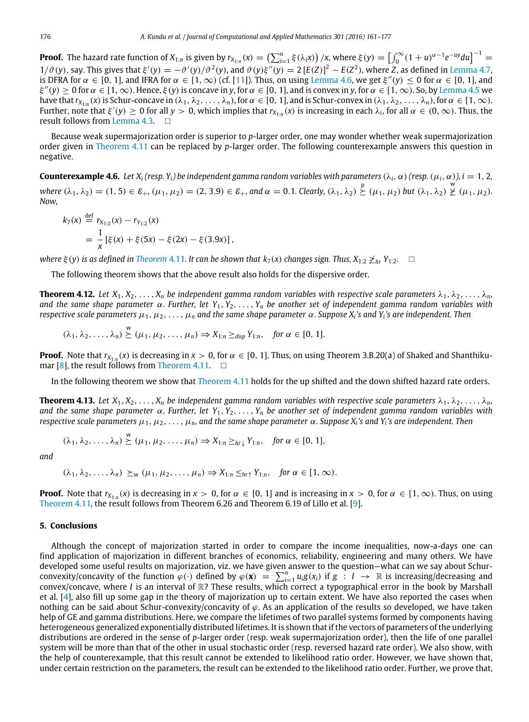**Proof.** The hazard rate function of  $X_{1:n}$  is given by  $r_{X_{1:n}}(x) = \left(\sum_{i=1}^n \xi(\lambda_i x)\right)/x$ , where  $\xi(y) = \left[\int_0^\infty (1+u)^{\alpha-1}e^{-uy}du\right]^{-1} =$  $1/\vartheta(y)$ , say. This gives that  $\xi'(y) = -\vartheta'(y)/\vartheta^2(y)$ , and  $\vartheta(y)\xi''(y) = 2 [E(Z)]^2 - E(Z^2)$ , where *Z*, as defined in [Lemma 4.7,](#page-14-0) is DFRA for  $\alpha \in [0, 1]$ , and IFRA for  $\alpha \in [1, \infty)$  (cf. [\[11\]](#page-16-8)). Thus, on using [Lemma 4.6,](#page-14-1) we get  $\xi''(y) \le 0$  for  $\alpha \in [0, 1]$ , and  $\xi''(y) \ge 0$  for  $\alpha \in [1, \infty)$ . Hence,  $\xi(y)$  is concave in y, for  $\alpha \in [0, 1]$ , and is convex in y, for  $\alpha \in [1, \infty)$ . So, by [Lemma 4.5](#page-14-2) we have that  $r_{X_{1:n}}(x)$  is Schur-concave in  $(\lambda_1, \lambda_2, \ldots, \lambda_n)$ , for  $\alpha \in [0, 1]$ , and is Schur-convex in  $(\lambda_1, \lambda_2, \ldots, \lambda_n)$ , for  $\alpha \in [1, \infty)$ . Further, note that  $\xi'(y) \ge 0$  for all  $y > 0$ , which implies that  $r_{X_{1:n}}(x)$  is increasing in each  $\lambda_i$ , for all  $\alpha \in (0, \infty)$ . Thus, the result follows from [Lemma 4.3.](#page-8-1) □

Because weak supermajorization order is superior to *p*-larger order, one may wonder whether weak supermajorization order given in [Theorem 4.11](#page-14-3) can be replaced by *p*-larger order. The following counterexample answers this question in negative.

**Counterexample 4.6.** *Let*  $X_i$  (resp.  $Y_i$ ) be independent gamma random variables with parameters  $(\lambda_i, \alpha)$  (resp.  $(\mu_i, \alpha)$ ),  $i = 1, 2$ ,  $where (\lambda_1, \lambda_2) = (1, 5) \in \mathcal{E}_+, (\mu_1, \mu_2) = (2, 3.9) \in \mathcal{E}_+, and \alpha = 0.1. Clearly, (\lambda_1, \lambda_2) \stackrel{p}{\geq} (\mu_1, \mu_2) but (\lambda_1, \lambda_2) \stackrel{w}{\geq} (\mu_1, \mu_2).$ *Now,*

$$
k_7(x) \stackrel{\text{def}}{=} r_{X_{1:2}}(x) - r_{Y_{1:2}}(x)
$$
  
=  $\frac{1}{x} [\xi(x) + \xi(5x) - \xi(2x) - \xi(3.9x)],$ 

*where*  $\xi(y)$  *is as defined in [Theorem](#page-14-3) 4.11. It can be shown that*  $k_7(x)$  *changes sign. Thus,*  $X_{1:2} \not\geq_{hr} Y_{1:2}$ .  $\square$ 

The following theorem shows that the above result also holds for the dispersive order.

**Theorem 4.12.** *Let*  $X_1, X_2, \ldots, X_n$  *be independent gamma random variables with respective scale parameters*  $\lambda_1, \lambda_2, \ldots, \lambda_n$ *, and the same shape parameter* α*. Further, let Y*1, *Y*2, .. . , *Y<sup>n</sup> be another set of independent gamma random variables with respective scale parameters* µ1, µ2, .. . ,µ*<sup>n</sup> and the same shape parameter* α*. Suppose X<sup>i</sup> 's and Y<sup>i</sup> 's are independent. Then*

$$
(\lambda_1, \lambda_2, \ldots, \lambda_n) \stackrel{\text{w}}{\succeq} (\mu_1, \mu_2, \ldots, \mu_n) \Rightarrow X_{1:n} \geq_{\text{disp}} Y_{1:n}, \quad \text{for } \alpha \in [0, 1].
$$

**Proof.** Note that  $r_{X_{1:n}}(x)$  is decreasing in  $x > 0$ , for  $\alpha \in [0, 1]$ . Thus, on using Theorem 3.B.20(a) of Shaked and Shanthiku-mar [\[8\]](#page-16-7), the result follows from [Theorem 4.11.](#page-14-3)  $\Box$ 

In the following theorem we show that [Theorem 4.11](#page-14-3) holds for the up shifted and the down shifted hazard rate orders.

**Theorem 4.13.** Let  $X_1, X_2, \ldots, X_n$  be independent gamma random variables with respective scale parameters  $\lambda_1, \lambda_2, \ldots, \lambda_n$ , *and the same shape parameter* α*. Further, let Y*1, *Y*2, .. . , *Y<sup>n</sup> be another set of independent gamma random variables with respective scale parameters* µ1, µ2, .. . ,µ*n, and the same shape parameter* α*. Suppose X<sup>i</sup> 's and Y<sup>i</sup> 's are independent. Then*

$$
(\lambda_1, \lambda_2, \dots, \lambda_n) \stackrel{\text{w}}{\succeq} (\mu_1, \mu_2, \dots, \mu_n) \Rightarrow X_{1:n} \geq_{hr\downarrow} Y_{1:n}, \text{ for } \alpha \in [0, 1],
$$

*and*

$$
(\lambda_1, \lambda_2, \ldots, \lambda_n) \succeq_{\mathsf{w}} (\mu_1, \mu_2, \ldots, \mu_n) \Rightarrow X_{1:n} \leq_{hr\uparrow} Y_{1:n}, \text{ for } \alpha \in [1, \infty).
$$

**Proof.** Note that  $r_{X_{1:n}}(x)$  is decreasing in  $x > 0$ , for  $\alpha \in [0, 1]$  and is increasing in  $x > 0$ , for  $\alpha \in [1, \infty)$ . Thus, on using [Theorem 4.11,](#page-14-3) the result follows from Theorem 6.26 and Theorem 6.19 of Lillo et al. [\[9\]](#page-16-17).

## <span id="page-15-0"></span>**5. Conclusions**

Although the concept of majorization started in order to compare the income inequalities, now-a-days one can find application of majorization in different branches of economics, reliability, engineering and many others. We have developed some useful results on majorization, viz. we have given answer to the question—what can we say about Schurconvexity/concavity of the function  $\varphi(\cdot)$  defined by  $\varphi(\mathbf{x}) = \sum_{i=1}^{n} u_i g(x_i)$  if  $g : I \to \mathbb{R}$  is increasing/decreasing and convex/concave, where *I* is an interval of R? These results, which correct a typographical error in the book by Marshall et al. [\[4\]](#page-16-3), also fill up some gap in the theory of majorization up to certain extent. We have also reported the cases when nothing can be said about Schur-convexity/concavity of  $\varphi$ . As an application of the results so developed, we have taken help of GE and gamma distributions. Here, we compare the lifetimes of two parallel systems formed by components having heterogeneous generalized exponentially distributed lifetimes. It is shown that if the vectors of parameters of the underlying distributions are ordered in the sense of *p*-larger order (resp. weak supermajorization order), then the life of one parallel system will be more than that of the other in usual stochastic order (resp. reversed hazard rate order). We also show, with the help of counterexample, that this result cannot be extended to likelihood ratio order. However, we have shown that, under certain restriction on the parameters, the result can be extended to the likelihood ratio order. Further, we prove that,